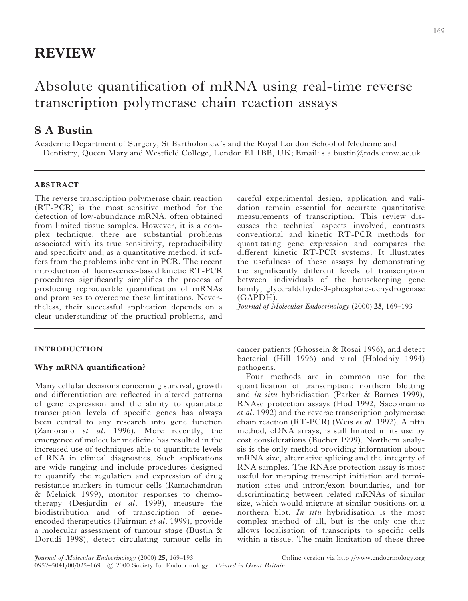# **REVIEW**

# Absolute quantification of mRNA using real-time reverse transcription polymerase chain reaction assays

# **S A Bustin**

Academic Department of Surgery, St Bartholomew's and the Royal London School of Medicine and Dentistry, Queen Mary and Westfield College, London E1 1BB, UK; Email: s.a.bustin@mds.qmw.ac.uk

#### **ABSTRACT**

The reverse transcription polymerase chain reaction (RT-PCR) is the most sensitive method for the detection of low-abundance mRNA, often obtained from limited tissue samples. However, it is a complex technique, there are substantial problems associated with its true sensitivity, reproducibility and specificity and, as a quantitative method, it suffers from the problems inherent in PCR. The recent introduction of fluorescence-based kinetic RT-PCR procedures significantly simplifies the process of producing reproducible quantification of mRNAs and promises to overcome these limitations. Nevertheless, their successful application depends on a clear understanding of the practical problems, and

### **INTRODUCTION**

#### **Why mRNA quantification?**

Many cellular decisions concerning survival, growth and differentiation are reflected in altered patterns of gene expression and the ability to quantitate transcription levels of specific genes has always been central to any research into gene function (Zamorano *et al.* 1996). More recently, the emergence of molecular medicine has resulted in the increased use of techniques able to quantitate levels of RNA in clinical diagnostics. Such applications are wide-ranging and include procedures designed to quantify the regulation and expression of drug resistance markers in tumour cells (Ramachandran & Melnick 1999), monitor responses to chemotherapy (Desjardin *et al.* 1999), measure the biodistribution and of transcription of geneencoded therapeutics (Fairman *et al.* 1999), provide a molecular assessment of tumour stage (Bustin & Dorudi 1998), detect circulating tumour cells in careful experimental design, application and validation remain essential for accurate quantitative measurements of transcription. This review discusses the technical aspects involved, contrasts conventional and kinetic RT-PCR methods for quantitating gene expression and compares the different kinetic RT-PCR systems. It illustrates the usefulness of these assays by demonstrating the significantly different levels of transcription between individuals of the housekeeping gene family, glyceraldehyde-3-phosphate-dehydrogenase (GAPDH).

*Journal of Molecular Endocrinology* (2000) **25,** 169–193

cancer patients (Ghossein & Rosai 1996), and detect bacterial (Hill 1996) and viral (Holodniy 1994) pathogens.

Four methods are in common use for the quantification of transcription: northern blotting and *in situ* hybridisation (Parker & Barnes 1999), RNAse protection assays (Hod 1992, Saccomanno *et al.* 1992) and the reverse transcription polymerase chain reaction (RT-PCR) (Weis *et al.* 1992). A fifth method, cDNA arrays, is still limited in its use by cost considerations (Bucher 1999). Northern analysis is the only method providing information about mRNA size, alternative splicing and the integrity of RNA samples. The RNAse protection assay is most useful for mapping transcript initiation and termination sites and intron/exon boundaries, and for discriminating between related mRNAs of similar size, which would migrate at similar positions on a northern blot. *In situ* hybridisation is the most complex method of all, but is the only one that allows localisation of transcripts to specific cells within a tissue. The main limitation of these three

*Journal of Molecular Endocrinology* (2000) **25,** 169–193 0952–5041/00/025–169 2000 Society for Endocrinology *Printed in Great Britain*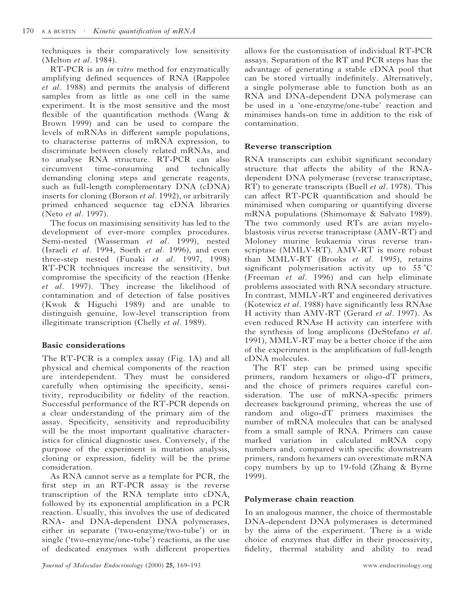techniques is their comparatively low sensitivity (Melton *et al.* 1984).

RT-PCR is an *in vitro* method for enzymatically amplifying defined sequences of RNA (Rappolee *et al.* 1988) and permits the analysis of different samples from as little as one cell in the same experiment. It is the most sensitive and the most flexible of the quantification methods (Wang & Brown 1999) and can be used to compare the levels of mRNAs in different sample populations, to characterise patterns of mRNA expression, to discriminate between closely related mRNAs, and to analyse RNA structure. RT-PCR can also circumvent time-consuming and technically demanding cloning steps and generate reagents, such as full-length complementary DNA (cDNA) inserts for cloning (Borson *et al.* 1992), or arbitrarily primed enhanced sequence tag cDNA libraries (Neto *et al.* 1997).

The focus on maximising sensitivity has led to the development of ever-more complex procedures. Semi-nested (Wasserman *et al.* 1999), nested (Israeli *et al.* 1994, Soeth *et al.* 1996), and even three-step nested (Funaki *et al.* 1997, 1998) RT-PCR techniques increase the sensitivity, but compromise the specificity of the reaction (Henke *et al.* 1997). They increase the likelihood of contamination and of detection of false positives (Kwok & Higuchi 1989) and are unable to distinguish genuine, low-level transcription from illegitimate transcription (Chelly *et al.* 1989).

# **Basic considerations**

The RT-PCR is a complex assay (Fig. 1A) and all physical and chemical components of the reaction are interdependent. They must be considered carefully when optimising the specificity, sensitivity, reproducibility or fidelity of the reaction. Successful performance of the RT-PCR depends on a clear understanding of the primary aim of the assay. Specificity, sensitivity and reproducibility will be the most important qualitative characteristics for clinical diagnostic uses. Conversely, if the purpose of the experiment is mutation analysis, cloning or expression, fidelity will be the prime consideration.

As RNA cannot serve as a template for PCR, the first step in an RT-PCR assay is the reverse transcription of the RNA template into cDNA, followed by its exponential amplification in a PCR reaction. Usually, this involves the use of dedicated RNA- and DNA-dependent DNA polymerases, either in separate ('two-enzyme/two-tube') or in single ('two-enzyme/one-tube') reactions, as the use of dedicated enzymes with different properties

allows for the customisation of individual RT-PCR assays. Separation of the RT and PCR steps has the advantage of generating a stable cDNA pool that can be stored virtually indefinitely. Alternatively, a single polymerase able to function both as an RNA and DNA-dependent DNA polymerase can be used in a 'one-enzyme/one-tube' reaction and minimises hands-on time in addition to the risk of contamination.

### **Reverse transcription**

RNA transcripts can exhibit significant secondary structure that affects the ability of the RNAdependent DNA polymerase (reverse transcriptase, RT) to generate transcripts (Buell *et al.* 1978). This can affect RT-PCR quantification and should be minimised when comparing or quantifying diverse mRNA populations (Shimomaye & Salvato 1989). The two commonly used RTs are avian myeloblastosis virus reverse transcriptase (AMV-RT) and Moloney murine leukaemia virus reverse transcriptase (MMLV-RT). AMV-RT is more robust than MMLV-RT (Brooks *et al.* 1995), retains significant polymerisation activity up to 55 °C (Freeman *et al.* 1996) and can help eliminate problems associated with RNA secondary structure. In contrast, MMLV-RT and engineered derivatives (Kotewicz *et al.* 1988) have significantly less RNAse H activity than AMV-RT (Gerard *et al.* 1997). As even reduced RNAse H activity can interfere with the synthesis of long amplicons (DeStefano *et al.* 1991), MMLV-RT may be a better choice if the aim of the experiment is the amplification of full-length cDNA molecules.

The RT step can be primed using specific primers, random hexamers or oligo-dT primers, and the choice of primers requires careful consideration. The use of mRNA-specific primers decreases background priming, whereas the use of random and oligo-dT primers maximises the number of mRNA molecules that can be analysed from a small sample of RNA. Primers can cause marked variation in calculated mRNA copy numbers and, compared with specific downstream primers, random hexamers can overestimate mRNA copy numbers by up to 19-fold (Zhang & Byrne 1999).

# **Polymerase chain reaction**

In an analogous manner, the choice of thermostable DNA-dependent DNA polymerases is determined by the aims of the experiment. There is a wide choice of enzymes that differ in their processivity, fidelity, thermal stability and ability to read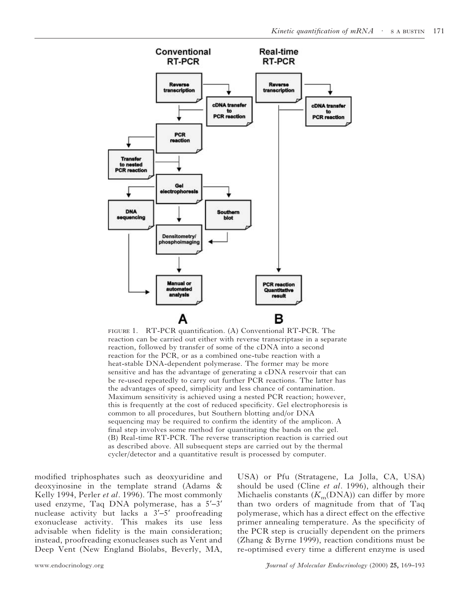

FIGURE 1. RT-PCR quantification. (A) Conventional RT-PCR. The reaction can be carried out either with reverse transcriptase in a separate reaction, followed by transfer of some of the cDNA into a second reaction for the PCR, or as a combined one-tube reaction with a heat-stable DNA-dependent polymerase. The former may be more sensitive and has the advantage of generating a cDNA reservoir that can be re-used repeatedly to carry out further PCR reactions. The latter has the advantages of speed, simplicity and less chance of contamination. Maximum sensitivity is achieved using a nested PCR reaction; however, this is frequently at the cost of reduced specificity. Gel electrophoresis is common to all procedures, but Southern blotting and/or DNA sequencing may be required to confirm the identity of the amplicon. A final step involves some method for quantitating the bands on the gel. (B) Real-time RT-PCR. The reverse transcription reaction is carried out as described above. All subsequent steps are carried out by the thermal cycler/detector and a quantitative result is processed by computer.

modified triphosphates such as deoxyuridine and deoxyinosine in the template strand (Adams & Kelly 1994, Perler *et al.* 1996). The most commonly used enzyme, Taq DNA polymerase, has a  $5'-3'$ nuclease activity but lacks a  $3'$ -5' proofreading exonuclease activity. This makes its use less advisable when fidelity is the main consideration; instead, proofreading exonucleases such as Vent and Deep Vent (New England Biolabs, Beverly, MA, USA) or Pfu (Stratagene, La Jolla, CA, USA) should be used (Cline *et al.* 1996), although their Michaelis constants  $(K_m(DNA))$  can differ by more than two orders of magnitude from that of Taq polymerase, which has a direct effect on the effective primer annealing temperature. As the specificity of the PCR step is crucially dependent on the primers (Zhang & Byrne 1999), reaction conditions must be re-optimised every time a different enzyme is used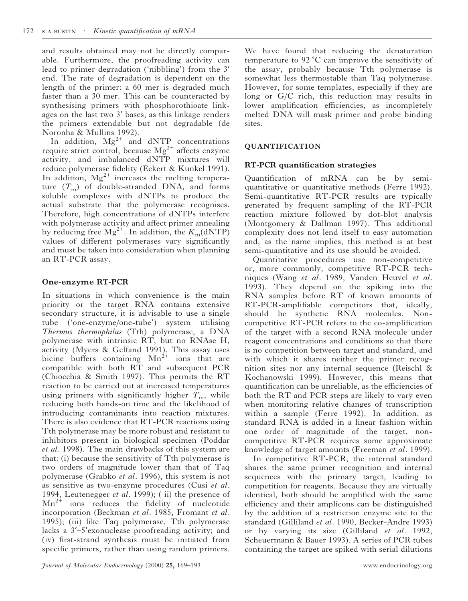and results obtained may not be directly comparable. Furthermore, the proofreading activity can lead to primer degradation ('nibbling') from the 3 end. The rate of degradation is dependent on the length of the primer: a 60 mer is degraded much faster than a 30 mer. This can be counteracted by synthesising primers with phosphorothioate linkages on the last two 3' bases, as this linkage renders the primers extendable but not degradable (de Noronha & Mullins 1992).

In addition,  $Mg^{2+}$  and dNTP concentrations require strict control, because  $Mg^{2+}$  affects enzyme activity, and imbalanced dNTP mixtures will reduce polymerase fidelity (Eckert & Kunkel 1991). In addition,  $Mg^{2+}$  increases the melting temperature  $(T_m)$  of double-stranded DNA, and forms soluble complexes with dNTPs to produce the actual substrate that the polymerase recognises. Therefore, high concentrations of dNTPs interfere with polymerase activity and affect primer annealing by reducing free  $Mg^{2+}$ . In addition, the  $K_m(dNTP)$ values of different polymerases vary significantly and must be taken into consideration when planning an RT-PCR assay.

## **One-enzyme RT-PCR**

In situations in which convenience is the main priority or the target RNA contains extensive secondary structure, it is advisable to use a single tube ('one-enzyme/one-tube') system utilising *Thermus thermophilus* (Tth) polymerase, a DNA polymerase with intrinsic RT, but no RNAse H, activity (Myers & Gelfand 1991). This assay uses bicine buffers containing  $Mn^{2+}$  ions that are compatible with both RT and subsequent PCR (Chiocchia & Smith 1997). This permits the RT reaction to be carried out at increased temperatures using primers with significantly higher  $T<sub>m</sub>$ , while reducing both hands-on time and the likelihood of introducing contaminants into reaction mixtures. There is also evidence that RT-PCR reactions using Tth polymerase may be more robust and resistant to inhibitors present in biological specimen (Poddar *et al.* 1998). The main drawbacks of this system are that: (i) because the sensitivity of Tth polymerase is two orders of magnitude lower than that of Taq polymerase (Grabko *et al.* 1996), this system is not as sensitive as two-enzyme procedures (Cusi *et al.* 1994, Leutenegger *et al.* 1999); ( ii) the presence of  $Mn^{2+}$  ions reduces the fidelity of nucleotide incorporation (Beckman *et al.* 1985, Fromant *et al.* 1995); (iii) like Taq polymerase, Tth polymerase lacks a 3'-5' exonuclease proofreading activity; and (iv) first-strand synthesis must be initiated from specific primers, rather than using random primers.

We have found that reducing the denaturation temperature to 92 °C can improve the sensitivity of the assay, probably because Tth polymerase is somewhat less thermostable than Taq polymerase. However, for some templates, especially if they are long or G/C rich, this reduction may results in lower amplification efficiencies, as incompletely melted DNA will mask primer and probe binding sites.

### **QUANTIFICATION**

## **RT-PCR quantification strategies**

Quantification of mRNA can be by semiquantitative or quantitative methods (Ferre 1992). Semi-quantitative RT-PCR results are typically generated by frequent sampling of the RT-PCR reaction mixture followed by dot-blot analysis (Montgomery & Dallman 1997). This additional complexity does not lend itself to easy automation and, as the name implies, this method is at best semi-quantitative and its use should be avoided.

Quantitative procedures use non-competitive or, more commonly, competitive RT-PCR techniques (Wang *et al.* 1989, Vanden Heuvel *et al.* 1993). They depend on the spiking into the RNA samples before RT of known amounts of RT-PCR-amplifiable competitors that, ideally, should be synthetic RNA molecules. Noncompetitive RT-PCR refers to the co-amplification of the target with a second RNA molecule under reagent concentrations and conditions so that there is no competition between target and standard, and with which it shares neither the primer recognition sites nor any internal sequence (Reischl & Kochanowski 1999). However, this means that quantification can be unreliable, as the efficiencies of both the RT and PCR steps are likely to vary even when monitoring relative changes of transcription within a sample (Ferre 1992). In addition, as standard RNA is added in a linear fashion within one order of magnitude of the target, noncompetitive RT-PCR requires some approximate knowledge of target amounts (Freeman *et al.* 1999).

In competitive RT-PCR, the internal standard shares the same primer recognition and internal sequences with the primary target, leading to competition for reagents. Because they are virtually identical, both should be amplified with the same efficiency and their amplicons can be distinguished by the addition of a restriction enzyme site to the standard (Gilliland *et al.* 1990, Becker-Andre 1993) or by varying its size (Gilliland *et al.* 1992, Scheuermann & Bauer 1993). A series of PCR tubes containing the target are spiked with serial dilutions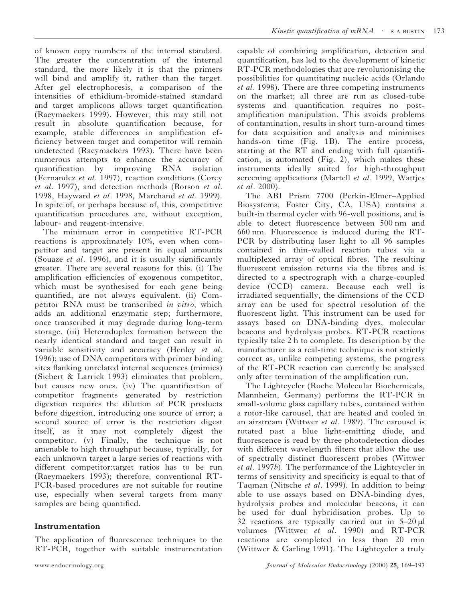of known copy numbers of the internal standard. The greater the concentration of the internal standard, the more likely it is that the primers will bind and amplify it, rather than the target. After gel electrophoresis, a comparison of the intensities of ethidium-bromide-stained standard and target amplicons allows target quantification (Raeymaekers 1999). However, this may still not result in absolute quantification because, for example, stable differences in amplification efficiency between target and competitor will remain undetected (Raeymaekers 1993). There have been numerous attempts to enhance the accuracy of quantification by improving RNA isolation (Fernandez *et al.* 1997), reaction conditions (Corey *et al.* 1997), and detection methods (Borson *et al.* 1998, Hayward *et al.* 1998, Marchand *et al.* 1999). In spite of, or perhaps because of, this, competitive quantification procedures are, without exception, labour- and reagent-intensive.

The minimum error in competitive RT-PCR reactions is approximately 10%, even when competitor and target are present in equal amounts (Souaze *et al.* 1996), and it is usually significantly greater. There are several reasons for this. (i) The amplification efficiencies of exogenous competitor, which must be synthesised for each gene being quantified, are not always equivalent. (ii) Competitor RNA must be transcribed *in vitro*, which adds an additional enzymatic step; furthermore, once transcribed it may degrade during long-term storage. (iii) Heteroduplex formation between the nearly identical standard and target can result in variable sensitivity and accuracy (Henley *et al.* 1996); use of DNA competitors with primer binding sites flanking unrelated internal sequences (mimics) (Siebert & Larrick 1993) eliminates that problem, but causes new ones. (iv) The quantification of competitor fragments generated by restriction digestion requires the dilution of PCR products before digestion, introducing one source of error; a second source of error is the restriction digest itself, as it may not completely digest the competitor. (v) Finally, the technique is not amenable to high throughput because, typically, for each unknown target a large series of reactions with different competitor:target ratios has to be run (Raeymaekers 1993); therefore, conventional RT-PCR-based procedures are not suitable for routine use, especially when several targets from many samples are being quantified.

# **Instrumentation**

The application of fluorescence techniques to the RT-PCR, together with suitable instrumentation capable of combining amplification, detection and quantification, has led to the development of kinetic RT-PCR methodologies that are revolutionising the possibilities for quantitating nucleic acids (Orlando *et al.* 1998). There are three competing instruments on the market; all three are run as closed-tube systems and quantification requires no postamplification manipulation. This avoids problems of contamination, results in short turn-around times for data acquisition and analysis and minimises hands-on time (Fig. 1B). The entire process, starting at the RT and ending with full quantification, is automated (Fig. 2), which makes these instruments ideally suited for high-throughput screening applications (Martell *et al.* 1999, Wattjes *et al.* 2000).

The ABI Prism 7700 (Perkin-Elmer–Applied Biosystems, Foster City, CA, USA) contains a built-in thermal cycler with 96-well positions, and is able to detect fluorescence between 500 nm and 660 nm. Fluorescence is induced during the RT-PCR by distributing laser light to all 96 samples contained in thin-walled reaction tubes via a multiplexed array of optical fibres. The resulting fluorescent emission returns via the fibres and is directed to a spectrograph with a charge-coupled device (CCD) camera. Because each well is irradiated sequentially, the dimensions of the CCD array can be used for spectral resolution of the fluorescent light. This instrument can be used for assays based on DNA-binding dyes, molecular beacons and hydrolysis probes. RT-PCR reactions typically take 2 h to complete. Its description by the manufacturer as a real-time technique is not strictly correct as, unlike competing systems, the progress of the RT-PCR reaction can currently be analysed only after termination of the amplification run.

The Lightcycler (Roche Molecular Biochemicals, Mannheim, Germany) performs the RT-PCR in small-volume glass capillary tubes, contained within a rotor-like carousel, that are heated and cooled in an airstream (Wittwer *et al.* 1989). The carousel is rotated past a blue light-emitting diode, and fluorescence is read by three photodetection diodes with different wavelength filters that allow the use of spectrally distinct fluorescent probes (Wittwer *et al.* 1997*b*). The performance of the Lightcycler in terms of sensitivity and specificity is equal to that of Taqman (Nitsche *et al.* 1999). In addition to being able to use assays based on DNA-binding dyes, hydrolysis probes and molecular beacons, it can be used for dual hybridisation probes. Up to 32 reactions are typically carried out in 5–20 µl volumes (Wittwer *et al.* 1990) and RT-PCR reactions are completed in less than 20 min (Wittwer & Garling 1991). The Lightcycler a truly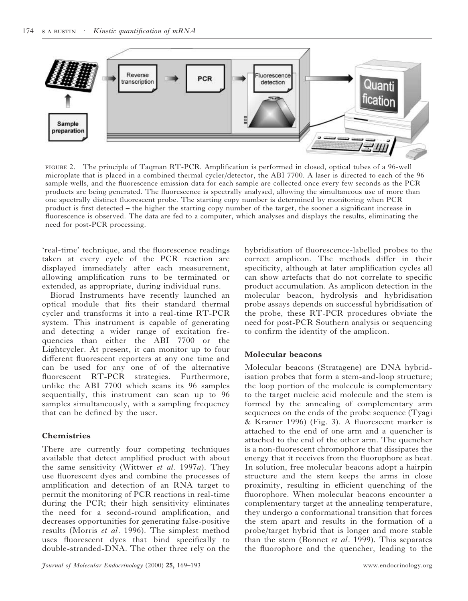

 2. The principle of Taqman RT-PCR. Amplification is performed in closed, optical tubes of a 96-well microplate that is placed in a combined thermal cycler/detector, the ABI 7700. A laser is directed to each of the 96 sample wells, and the fluorescence emission data for each sample are collected once every few seconds as the PCR products are being generated. The fluorescence is spectrally analysed, allowing the simultaneous use of more than one spectrally distinct fluorescent probe. The starting copy number is determined by monitoring when PCR product is first detected – the higher the starting copy number of the target, the sooner a significant increase in fluorescence is observed. The data are fed to a computer, which analyses and displays the results, eliminating the need for post-PCR processing.

'real-time' technique, and the fluorescence readings taken at every cycle of the PCR reaction are displayed immediately after each measurement, allowing amplification runs to be terminated or extended, as appropriate, during individual runs.

Biorad Instruments have recently launched an optical module that fits their standard thermal cycler and transforms it into a real-time RT-PCR system. This instrument is capable of generating and detecting a wider range of excitation frequencies than either the ABI 7700 or the Lightcycler. At present, it can monitor up to four different fluorescent reporters at any one time and can be used for any one of of the alternative fluorescent RT-PCR strategies. Furthermore, unlike the ABI 7700 which scans its 96 samples sequentially, this instrument can scan up to 96 samples simultaneously, with a sampling frequency that can be defined by the user.

#### **Chemistries**

There are currently four competing techniques available that detect amplified product with about the same sensitivity (Wittwer *et al.* 1997*a*). They use fluorescent dyes and combine the processes of amplification and detection of an RNA target to permit the monitoring of PCR reactions in real-time during the PCR; their high sensitivity eliminates the need for a second-round amplification, and decreases opportunities for generating false-positive results (Morris *et al.* 1996). The simplest method uses fluorescent dyes that bind specifically to double-stranded-DNA. The other three rely on the

hybridisation of fluorescence-labelled probes to the correct amplicon. The methods differ in their specificity, although at later amplification cycles all can show artefacts that do not correlate to specific product accumulation. As amplicon detection in the molecular beacon, hydrolysis and hybridisation probe assays depends on successful hybridisation of the probe, these RT-PCR procedures obviate the need for post-PCR Southern analysis or sequencing to confirm the identity of the amplicon.

# **Molecular beacons**

Molecular beacons (Stratagene) are DNA hybridisation probes that form a stem-and-loop structure; the loop portion of the molecule is complementary to the target nucleic acid molecule and the stem is formed by the annealing of complementary arm sequences on the ends of the probe sequence (Tyagi & Kramer 1996) (Fig. 3). A fluorescent marker is attached to the end of one arm and a quencher is attached to the end of the other arm. The quencher is a non-fluorescent chromophore that dissipates the energy that it receives from the fluorophore as heat. In solution, free molecular beacons adopt a hairpin structure and the stem keeps the arms in close proximity, resulting in efficient quenching of the fluorophore. When molecular beacons encounter a complementary target at the annealing temperature, they undergo a conformational transition that forces the stem apart and results in the formation of a probe/target hybrid that is longer and more stable than the stem (Bonnet *et al.* 1999). This separates the fluorophore and the quencher, leading to the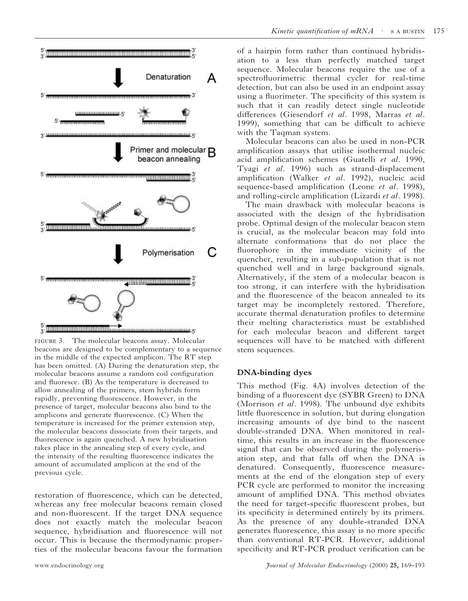

 3. The molecular beacons assay. Molecular beacons are designed to be complementary to a sequence in the middle of the expected amplicon. The RT step has been omitted. (A) During the denaturation step, the molecular beacons assume a random coil configuration and fluoresce. (B) As the temperature is decreased to allow annealing of the primers, stem hybrids form rapidly, preventing fluorescence. However, in the presence of target, molecular beacons also bind to the amplicons and generate fluorescence. (C) When the temperature is increased for the primer extension step, the molecular beacons dissociate from their targets, and fluorescence is again quenched. A new hybridisation takes place in the annealing step of every cycle, and the intensity of the resulting fluorescence indicates the amount of accumulated amplicon at the end of the previous cycle.

restoration of fluorescence, which can be detected, whereas any free molecular beacons remain closed and non-fluorescent. If the target DNA sequence does not exactly match the molecular beacon sequence, hybridisation and fluorescence will not occur. This is because the thermodynamic properties of the molecular beacons favour the formation of a hairpin form rather than continued hybridisation to a less than perfectly matched target sequence. Molecular beacons require the use of a spectrofluorimetric thermal cycler for real-time detection, but can also be used in an endpoint assay using a fluorimeter. The specificity of this system is such that it can readily detect single nucleotide differences (Giesendorf *et al.* 1998, Marras *et al.* 1999), something that can be difficult to achieve with the Taqman system.

Molecular beacons can also be used in non-PCR amplification assays that utilise isothermal nucleic acid amplification schemes (Guatelli *et al.* 1990, Tyagi *et al.* 1996) such as strand-displacement amplification (Walker *et al.* 1992), nucleic acid sequence-based amplification (Leone *et al.* 1998), and rolling-circle amplification (Lizardi *et al.* 1998).

The main drawback with molecular beacons is associated with the design of the hybridisation probe. Optimal design of the molecular beacon stem is crucial, as the molecular beacon may fold into alternate conformations that do not place the fluorophore in the immediate vicinity of the quencher, resulting in a sub-population that is not quenched well and in large background signals. Alternatively, if the stem of a molecular beacon is too strong, it can interfere with the hybridisation and the fluorescence of the beacon annealed to its target may be incompletely restored. Therefore, accurate thermal denaturation profiles to determine their melting characteristics must be established for each molecular beacon and different target sequences will have to be matched with different stem sequences.

#### **DNA-binding dyes**

This method (Fig. 4A) involves detection of the binding of a fluorescent dye (SYBR Green) to DNA (Morrison *et al.* 1998). The unbound dye exhibits little fluorescence in solution, but during elongation increasing amounts of dye bind to the nascent double-stranded DNA. When monitored in realtime, this results in an increase in the fluorescence signal that can be observed during the polymerisation step, and that falls off when the DNA is denatured. Consequently, fluorescence measurements at the end of the elongation step of every PCR cycle are performed to monitor the increasing amount of amplified DNA. This method obviates the need for target-specific fluorescent probes, but its specificity is determined entirely by its primers. As the presence of any double-stranded DNA generates fluorescence, this assay is no more specific than conventional RT-PCR. However, additional specificity and RT-PCR product verification can be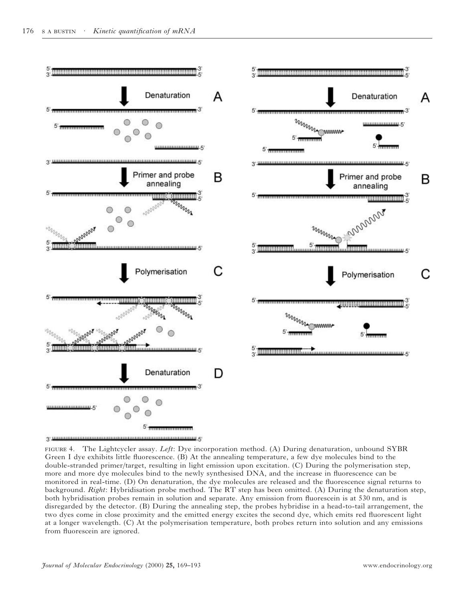

 4. The Lightcycler assay. *Left*: Dye incorporation method. (A) During denaturation, unbound SYBR Green I dye exhibits little fluorescence. (B) At the annealing temperature, a few dye molecules bind to the double-stranded primer/target, resulting in light emission upon excitation. (C) During the polymerisation step, more and more dye molecules bind to the newly synthesised DNA, and the increase in fluorescence can be monitored in real-time. (D) On denaturation, the dye molecules are released and the fluorescence signal returns to background. *Right*: Hybridisation probe method. The RT step has been omitted. (A) During the denaturation step, both hybridisation probes remain in solution and separate. Any emission from fluorescein is at 530 nm, and is disregarded by the detector. (B) During the annealing step, the probes hybridise in a head-to-tail arrangement, the two dyes come in close proximity and the emitted energy excites the second dye, which emits red fluorescent light at a longer wavelength. (C) At the polymerisation temperature, both probes return into solution and any emissions from fluorescein are ignored.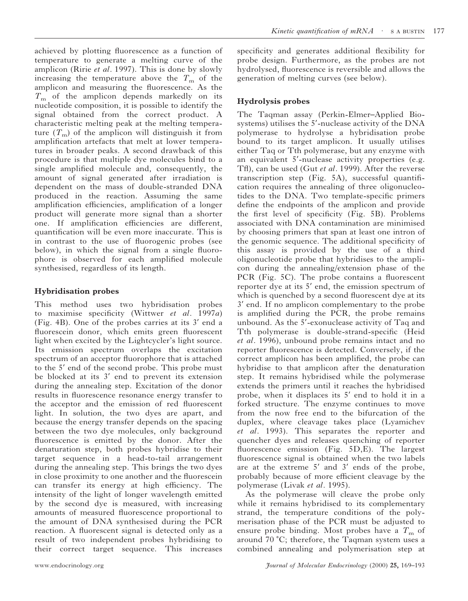achieved by plotting fluorescence as a function of temperature to generate a melting curve of the amplicon (Ririe *et al.* 1997). This is done by slowly increasing the temperature above the  $T<sub>m</sub>$  of the amplicon and measuring the fluorescence. As the  $T<sub>m</sub>$  of the amplicon depends markedly on its nucleotide composition, it is possible to identify the signal obtained from the correct product. A characteristic melting peak at the melting temperature  $(T<sub>m</sub>)$  of the amplicon will distinguish it from amplification artefacts that melt at lower temperatures in broader peaks. A second drawback of this procedure is that multiple dye molecules bind to a single amplified molecule and, consequently, the amount of signal generated after irradiation is dependent on the mass of double-stranded DNA produced in the reaction. Assuming the same amplification efficiencies, amplification of a longer product will generate more signal than a shorter one. If amplification efficiencies are different, quantification will be even more inaccurate. This is in contrast to the use of fluorogenic probes (see below), in which the signal from a single fluorophore is observed for each amplified molecule synthesised, regardless of its length.

## **Hybridisation probes**

This method uses two hybridisation probes to maximise specificity (Wittwer *et al.* 1997*a*) (Fig. 4B). One of the probes carries at its  $3'$  end a fluorescein donor, which emits green fluorescent light when excited by the Lightcycler's light source. Its emission spectrum overlaps the excitation spectrum of an acceptor fluorophore that is attached to the 5' end of the second probe. This probe must be blocked at its  $3'$  end to prevent its extension during the annealing step. Excitation of the donor results in fluorescence resonance energy transfer to the acceptor and the emission of red fluorescent light. In solution, the two dyes are apart, and because the energy transfer depends on the spacing between the two dye molecules, only background fluorescence is emitted by the donor. After the denaturation step, both probes hybridise to their target sequence in a head-to-tail arrangement during the annealing step. This brings the two dyes in close proximity to one another and the fluorescein can transfer its energy at high efficiency. The intensity of the light of longer wavelength emitted by the second dye is measured, with increasing amounts of measured fluorescence proportional to the amount of DNA synthesised during the PCR reaction. A fluorescent signal is detected only as a result of two independent probes hybridising to their correct target sequence. This increases

specificity and generates additional flexibility for probe design. Furthermore, as the probes are not hydrolysed, fluorescence is reversible and allows the generation of melting curves (see below).

# **Hydrolysis probes**

The Taqman assay (Perkin-Elmer–Applied Biosystems) utilises the 5-nuclease activity of the DNA polymerase to hydrolyse a hybridisation probe bound to its target amplicon. It usually utilises either Taq or Tth polymerase, but any enzyme with an equivalent 5'-nuclease activity properties (e.g. Tfl), can be used (Gut *et al.* 1999). After the reverse transcription step (Fig. 5A), successful quantification requires the annealing of three oligonucleotides to the DNA. Two template-specific primers define the endpoints of the amplicon and provide the first level of specificity (Fig. 5B). Problems associated with DNA contamination are minimised by choosing primers that span at least one intron of the genomic sequence. The additional specificity of this assay is provided by the use of a third oligonucleotide probe that hybridises to the amplicon during the annealing/extension phase of the PCR (Fig. 5C). The probe contains a fluorescent reporter dye at its 5' end, the emission spectrum of which is quenched by a second fluorescent dye at its 3 end. If no amplicon complementary to the probe is amplified during the PCR, the probe remains unbound. As the 5-exonuclease activity of Taq and Tth polymerase is double-strand-specific (Heid *et al.* 1996), unbound probe remains intact and no reporter fluorescence is detected. Conversely, if the correct amplicon has been amplified, the probe can hybridise to that amplicon after the denaturation step. It remains hybridised while the polymerase extends the primers until it reaches the hybridised probe, when it displaces its 5' end to hold it in a forked structure. The enzyme continues to move from the now free end to the bifurcation of the duplex, where cleavage takes place (Lyamichev *et al.* 1993). This separates the reporter and quencher dyes and releases quenching of reporter fluorescence emission (Fig. 5D,E). The largest fluorescence signal is obtained when the two labels are at the extreme  $5'$  and  $3'$  ends of the probe, probably because of more efficient cleavage by the polymerase (Livak *et al.* 1995).

As the polymerase will cleave the probe only while it remains hybridised to its complementary strand, the temperature conditions of the polymerisation phase of the PCR must be adjusted to ensure probe binding. Most probes have a  $T<sub>m</sub>$  of around 70 °C; therefore, the Taqman system uses a combined annealing and polymerisation step at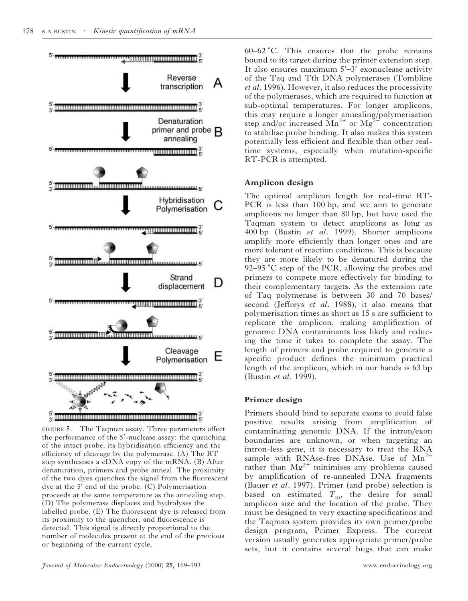

 5. The Taqman assay. Three parameters affect the performance of the 5'-nuclease assay: the quenching of the intact probe, its hybridisation efficiency and the efficiency of cleavage by the polymerase. (A) The RT step synthesises a cDNA copy of the mRNA. (B) After denaturation, primers and probe anneal. The proximity of the two dyes quenches the signal from the fluorescent dye at the  $5'$  end of the probe. (C) Polymerisation proceeds at the same temperature as the annealing step. (D) The polymerase displaces and hydrolyses the labelled probe. (E) The fluorescent dye is released from its proximity to the quencher, and fluorescence is detected. This signal is directly proportional to the number of molecules present at the end of the previous or beginning of the current cycle.

60-62 °C. This ensures that the probe remains bound to its target during the primer extension step. It also ensures maximum  $5'-3'$  exonuclease activity of the Taq and Tth DNA polymerases (Tombline *et al.* 1996). However, it also reduces the processivity of the polymerases, which are required to function at sub-optimal temperatures. For longer amplicons, this may require a longer annealing/polymerisation step and/or increased  $\text{Mn}^{2+}$  or  $\text{Mg}^{2+}$  concentration to stabilise probe binding. It also makes this system potentially less efficient and flexible than other realtime systems, especially when mutation-specific RT-PCR is attempted.

#### **Amplicon design**

The optimal amplicon length for real-time RT-PCR is less than 100 bp, and we aim to generate amplicons no longer than 80 bp, but have used the Taqman system to detect amplicons as long as 400 bp (Bustin *et al.* 1999). Shorter amplicons amplify more efficiently than longer ones and are more tolerant of reaction conditions. This is because they are more likely to be denatured during the 92-95 °C step of the PCR, allowing the probes and primers to compete more effectively for binding to their complementary targets. As the extension rate of Taq polymerase is between 30 and 70 bases/ second (Jeffreys *et al.* 1988), it also means that polymerisation times as short as 15 s are sufficient to replicate the amplicon, making amplification of genomic DNA contaminants less likely and reducing the time it takes to complete the assay. The length of primers and probe required to generate a specific product defines the minimum practical length of the amplicon, which in our hands is 63 bp (Bustin *et al.* 1999).

#### **Primer design**

Primers should bind to separate exons to avoid false positive results arising from amplification of contaminating genomic DNA. If the intron/exon boundaries are unknown, or when targeting an intron-less gene, it is necessary to treat the RNA sample with RNAse-free DNAse. Use of  $Mn^{2+}$ rather than  $Mg^{2+}$  minimises any problems caused by amplification of re-annealed DNA fragments (Bauer *et al.* 1997). Primer (and probe) selection is based on estimated  $T_{\text{m}}$ , the desire for small amplicon size and the location of the probe. They must be designed to very exacting specifications and the Taqman system provides its own primer/probe design program, Primer Express. The current version usually generates appropriate primer/probe sets, but it contains several bugs that can make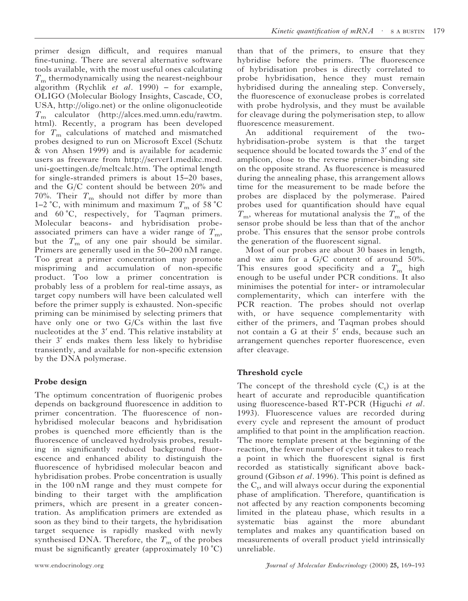primer design difficult, and requires manual fine-tuning. There are several alternative software tools available, with the most useful ones calculating  $T_{\rm m}$  thermodynamically using the nearest-neighbour algorithm (Rychlik *et al.* 1990) – for example, OLIGO (Molecular Biology Insights, Cascade, CO, USA, http://oligo.net) or the online oligonucleotide *T*<sup>m</sup> calculator (http://alces.med.umn.edu/rawtm. html). Recently, a program has been developed for  $T_m$  calculations of matched and mismatched probes designed to run on Microsoft Excel (Schutz & von Ahsen 1999) and is available for academic users as freeware from http://server1.medikc.med. uni-goettingen.de/meltcalc.htm. The optimal length for single-stranded primers is about 15–20 bases, and the G/C content should be between 20% and 70%. Their  $T_m$  should not differ by more than 1–2 °C, with minimum and maximum  $T<sub>m</sub>$  of 58 °C and 60 °C, respectively, for Taqman primers. Molecular beacons- and hybridisation probeassociated primers can have a wider range of  $T<sub>m</sub>$ , but the  $T_m$  of any one pair should be similar. Primers are generally used in the 50–200 nM range. Too great a primer concentration may promote mispriming and accumulation of non-specific product. Too low a primer concentration is probably less of a problem for real-time assays, as target copy numbers will have been calculated well before the primer supply is exhausted. Non-specific priming can be minimised by selecting primers that have only one or two G/Cs within the last five nucleotides at the 3' end. This relative instability at their 3' ends makes them less likely to hybridise transiently, and available for non-specific extension by the DNA polymerase.

#### **Probe design**

The optimum concentration of fluorigenic probes depends on background fluorescence in addition to primer concentration. The fluorescence of nonhybridised molecular beacons and hybridisation probes is quenched more efficiently than is the fluorescence of uncleaved hydrolysis probes, resulting in significantly reduced background fluorescence and enhanced ability to distinguish the fluorescence of hybridised molecular beacon and hybridisation probes. Probe concentration is usually in the 100 nM range and they must compete for binding to their target with the amplification primers, which are present in a greater concentration. As amplification primers are extended as soon as they bind to their targets, the hybridisation target sequence is rapidly masked with newly synthesised DNA. Therefore, the  $T<sub>m</sub>$  of the probes must be significantly greater (approximately  $10\text{ }^{\circ}\text{C}$ )

than that of the primers, to ensure that they hybridise before the primers. The fluorescence of hybridisation probes is directly correlated to probe hybridisation, hence they must remain hybridised during the annealing step. Conversely, the fluorescence of exonuclease probes is correlated with probe hydrolysis, and they must be available for cleavage during the polymerisation step, to allow fluorescence measurement.

An additional requirement of the twohybridisation-probe system is that the target sequence should be located towards the 3' end of the amplicon, close to the reverse primer-binding site on the opposite strand. As fluorescence is measured during the annealing phase, this arrangement allows time for the measurement to be made before the probes are displaced by the polymerase. Paired probes used for quantification should have equal  $T_{\rm m}$ , whereas for mutational analysis the  $T_{\rm m}$  of the sensor probe should be less than that of the anchor probe. This ensures that the sensor probe controls the generation of the fluorescent signal.

Most of our probes are about 30 bases in length, and we aim for a G/C content of around 50%. This ensures good specificity and a  $T<sub>m</sub>$  high enough to be useful under PCR conditions. It also minimises the potential for inter- or intramolecular complementarity, which can interfere with the PCR reaction. The probes should not overlap with, or have sequence complementarity with either of the primers, and Taqman probes should not contain a G at their 5' ends, because such an arrangement quenches reporter fluorescence, even after cleavage.

#### **Threshold cycle**

The concept of the threshold cycle  $(C_t)$  is at the heart of accurate and reproducible quantification using fluorescence-based RT-PCR (Higuchi *et al.* 1993). Fluorescence values are recorded during every cycle and represent the amount of product amplified to that point in the amplification reaction. The more template present at the beginning of the reaction, the fewer number of cycles it takes to reach a point in which the fluorescent signal is first recorded as statistically significant above background (Gibson *et al.* 1996). This point is defined as the  $C_t$ , and will always occur during the exponential phase of amplification. Therefore, quantification is not affected by any reaction components becoming limited in the plateau phase, which results in a systematic bias against the more abundant templates and makes any quantification based on measurements of overall product yield intrinsically unreliable.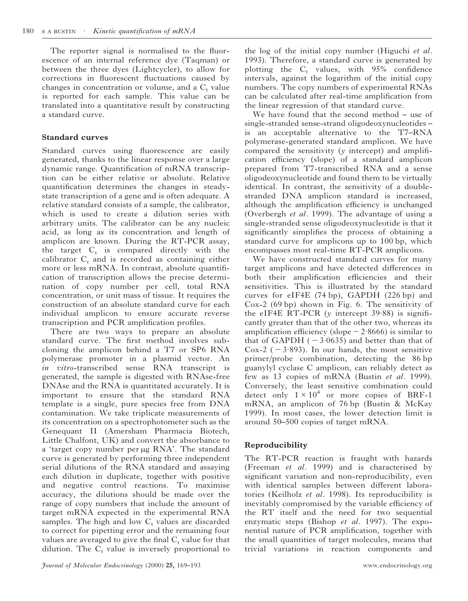The reporter signal is normalised to the fluorescence of an internal reference dye (Taqman) or between the three dyes (Lightcycler), to allow for corrections in fluorescent fluctuations caused by changes in concentration or volume, and a  $C_t$  value is reported for each sample. This value can be translated into a quantitative result by constructing a standard curve.

### **Standard curves**

Standard curves using fluorescence are easily generated, thanks to the linear response over a large dynamic range. Quantification of mRNA transcription can be either relative or absolute. Relative quantification determines the changes in steadystate transcription of a gene and is often adequate. A relative standard consists of a sample, the calibrator, which is used to create a dilution series with arbitrary units. The calibrator can be any nucleic acid, as long as its concentration and length of amplicon are known. During the RT-PCR assay, the target  $C_t$  is compared directly with the calibrator  $C_t$  and is recorded as containing either more or less mRNA. In contrast, absolute quantification of transcription allows the precise determination of copy number per cell, total RNA concentration, or unit mass of tissue. It requires the construction of an absolute standard curve for each individual amplicon to ensure accurate reverse transcription and PCR amplification profiles.

There are two ways to prepare an absolute standard curve. The first method involves subcloning the amplicon behind a T7 or SP6 RNA polymerase promoter in a plasmid vector. An *in vitro*-transcribed sense RNA transcript is generated, the sample is digested with RNAse-free DNAse and the RNA is quantitated accurately. It is important to ensure that the standard RNA template is a single, pure species free from DNA contamination. We take triplicate measurements of its concentration on a spectrophotometer such as the Genequant II (Amersham Pharmacia Biotech, Little Chalfont, UK) and convert the absorbance to a 'target copy number per µg RNA'. The standard curve is generated by performing three independent serial dilutions of the RNA standard and assaying each dilution in duplicate, together with positive and negative control reactions. To maximise accuracy, the dilutions should be made over the range of copy numbers that include the amount of target mRNA expected in the experimental RNA samples. The high and low  $C_t$  values are discarded to correct for pipetting error and the remaining four values are averaged to give the final  $C_t$  value for that dilution. The  $C_t$  value is inversely proportional to

the log of the initial copy number (Higuchi *et al.* 1993). Therefore, a standard curve is generated by plotting the  $C_t$  values, with 95% confidence intervals, against the logarithm of the initial copy numbers. The copy numbers of experimental RNAs can be calculated after real-time amplification from the linear regression of that standard curve.

We have found that the second method – use of single-stranded sense-strand oligodeoxynucleotides – is an acceptable alternative to the T7–RNA polymerase-generated standard amplicon. We have compared the sensitivity (*y* intercept) and amplification efficiency (slope) of a standard amplicon prepared from T7-transcribed RNA and a sense oligodeoxynucleotide and found them to be virtually identical. In contrast, the sensitivity of a doublestranded DNA amplicon standard is increased, although the amplification efficiency is unchanged (Overbergh *et al.* 1999). The advantage of using a single-stranded sense oligodeoxynucleotide is that it significantly simplifies the process of obtaining a standard curve for amplicons up to 100 bp, which encompasses most real-time RT-PCR amplicons.

We have constructed standard curves for many target amplicons and have detected differences in both their amplification efficiencies and their sensitivities. This is illustrated by the standard curves for eIF4E (74 bp), GAPDH (226 bp) and Cox-2 (69 bp) shown in Fig. 6. The sensitivity of the eIF4E RT-PCR (*y* intercept 39·88) is significantly greater than that of the other two, whereas its amplification efficiency (slope  $-2.8666$ ) is similar to that of GAPDH  $(-3.0635)$  and better than that of Cox-2 ( $-3.893$ ). In our hands, the most sensitive primer/probe combination, detecting the 86 bp guanylyl cyclase C amplicon, can reliably detect as few as 13 copies of mRNA (Bustin *et al.* 1999). Conversely, the least sensitive combination could detect only  $1 \times 10^4$  or more copies of BRF-1 mRNA, an amplicon of 76 bp (Bustin & McKay 1999). In most cases, the lower detection limit is around 50–500 copies of target mRNA.

# **Reproducibility**

The RT-PCR reaction is fraught with hazards (Freeman *et al.* 1999) and is characterised by significant variation and non-reproducibility, even with identical samples between different laboratories (Keilholz *et al.* 1998). Its reproducibility is inevitably compromised by the variable efficiency of the RT itself and the need for two sequential enzymatic steps (Bishop *et al.* 1997). The exponential nature of PCR amplification, together with the small quantities of target molecules, means that trivial variations in reaction components and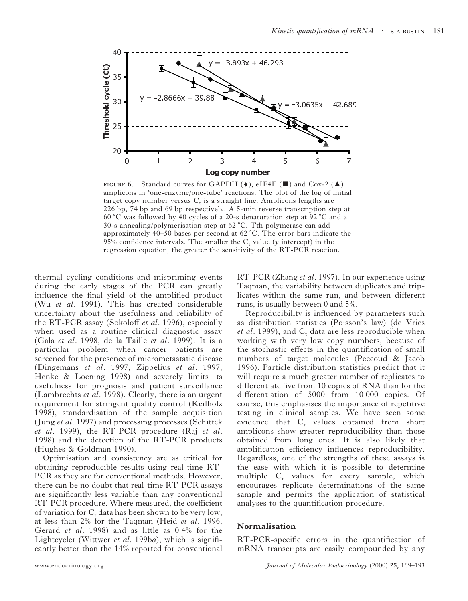

FIGURE 6. Standard curves for GAPDH  $(\bullet)$ , eIF4E ( $\blacksquare$ ) and Cox-2 ( $\blacktriangle$ ) amplicons in 'one-enzyme/one-tube' reactions. The plot of the log of initial target copy number versus  $C_t$  is a straight line. Amplicons lengths are 226 bp, 74 bp and 69 bp respectively. A 5-min reverse transcription step at 60 °C was followed by 40 cycles of a 20-s denaturation step at 92 °C and a 30-s annealing/polymerisation step at 62 °C. Tth polymerase can add approximately 40–50 bases per second at 62 °C. The error bars indicate the 95% confidence intervals. The smaller the  $C<sub>t</sub>$  value ( $\gamma$  intercept) in the regression equation, the greater the sensitivity of the RT-PCR reaction.

thermal cycling conditions and mispriming events during the early stages of the PCR can greatly influence the final yield of the amplified product (Wu *et al.* 1991). This has created considerable uncertainty about the usefulness and reliability of the RT-PCR assay (Sokoloff *et al.* 1996), especially when used as a routine clinical diagnostic assay (Gala *et al.* 1998, de la Taille *et al.* 1999). It is a particular problem when cancer patients are screened for the presence of micrometastatic disease (Dingemans *et al.* 1997, Zippelius *et al.* 1997, Henke & Loening 1998) and severely limits its usefulness for prognosis and patient surveillance (Lambrechts *et al.* 1998). Clearly, there is an urgent requirement for stringent quality control (Keilholz 1998), standardisation of the sample acquisition (Jung *et al.* 1997) and processing processes (Schittek *et al.* 1999), the RT-PCR procedure (Raj *et al.* 1998) and the detection of the RT-PCR products (Hughes & Goldman 1990).

Optimisation and consistency are as critical for obtaining reproducible results using real-time RT-PCR as they are for conventional methods. However, there can be no doubt that real-time RT-PCR assays are significantly less variable than any conventional RT-PCR procedure. Where measured, the coefficient of variation for  $C_t$  data has been shown to be very low, at less than 2% for the Taqman (Heid *et al.* 1996, Gerard *et al.* 1998) and as little as 0·4% for the Lightcycler (Wittwer *et al.* 199b*a*), which is significantly better than the 14% reported for conventional RT-PCR (Zhang *et al.* 1997). In our experience using Taqman, the variability between duplicates and triplicates within the same run, and between different runs, is usually between 0 and 5%.

Reproducibility is influenced by parameters such as distribution statistics (Poisson's law) (de Vries  $et$  al. 1999), and  $C<sub>t</sub>$  data are less reproducible when working with very low copy numbers, because of the stochastic effects in the quantification of small numbers of target molecules (Peccoud & Jacob 1996). Particle distribution statistics predict that it will require a much greater number of replicates to differentiate five from 10 copies of RNA than for the differentiation of 5000 from 10 000 copies. Of course, this emphasises the importance of repetitive testing in clinical samples. We have seen some evidence that  $C_t$  values obtained from short amplicons show greater reproducibility than those obtained from long ones. It is also likely that amplification efficiency influences reproducibility. Regardless, one of the strengths of these assays is the ease with which it is possible to determine multiple  $C_t$  values for every sample, which encourages replicate determinations of the same sample and permits the application of statistical analyses to the quantification procedure.

#### **Normalisation**

RT-PCR-specific errors in the quantification of mRNA transcripts are easily compounded by any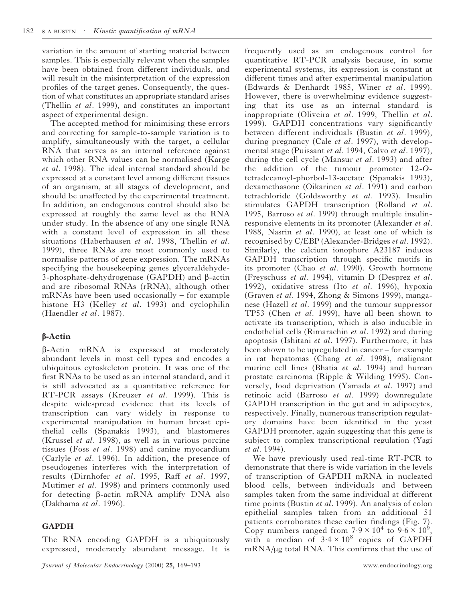variation in the amount of starting material between samples. This is especially relevant when the samples have been obtained from different individuals, and will result in the misinterpretation of the expression profiles of the target genes. Consequently, the question of what constitutes an appropriate standard arises (Thellin *et al.* 1999), and constitutes an important aspect of experimental design.

The accepted method for minimising these errors and correcting for sample-to-sample variation is to amplify, simultaneously with the target, a cellular RNA that serves as an internal reference against which other RNA values can be normalised (Karge *et al.* 1998). The ideal internal standard should be expressed at a constant level among different tissues of an organism, at all stages of development, and should be unaffected by the experimental treatment. In addition, an endogenous control should also be expressed at roughly the same level as the RNA under study. In the absence of any one single RNA with a constant level of expression in all these situations (Haberhausen *et al.* 1998, Thellin *et al.* 1999), three RNAs are most commonly used to normalise patterns of gene expression. The mRNAs specifying the housekeeping genes glyceraldehyde- $3$ -phosphate-dehydrogenase (GAPDH) and  $\beta$ -actin and are ribosomal RNAs (rRNA), although other mRNAs have been used occasionally – for example histone H3 (Kelley *et al.* 1993) and cyclophilin (Haendler *et al.* 1987).

# **-Actin**

 $\beta$ -Actin mRNA is expressed at moderately abundant levels in most cell types and encodes a ubiquitous cytoskeleton protein. It was one of the first RNAs to be used as an internal standard, and it is still advocated as a quantitative reference for RT-PCR assays (Kreuzer *et al.* 1999). This is despite widespread evidence that its levels of transcription can vary widely in response to experimental manipulation in human breast epithelial cells (Spanakis 1993), and blastomeres (Krussel *et al.* 1998), as well as in various porcine tissues (Foss *et al.* 1998) and canine myocardium (Carlyle *et al.* 1996). In addition, the presence of pseudogenes interferes with the interpretation of results (Dirnhofer *et al.* 1995, Raff *et al.* 1997, Mutimer *et al.* 1998) and primers commonly used for detecting  $\beta$ -actin mRNA amplify DNA also (Dakhama *et al.* 1996).

# **GAPDH**

The RNA encoding GAPDH is a ubiquitously expressed, moderately abundant message. It is

frequently used as an endogenous control for quantitative RT-PCR analysis because, in some experimental systems, its expression is constant at different times and after experimental manipulation (Edwards & Denhardt 1985, Winer *et al.* 1999). However, there is overwhelming evidence suggesting that its use as an internal standard is inappropriate (Oliveira *et al.* 1999, Thellin *et al.* 1999). GAPDH concentrations vary significantly between different individuals (Bustin *et al.* 1999), during pregnancy (Cale *et al.* 1997), with developmental stage (Puissant *et al.* 1994, Calvo *et al.* 1997), during the cell cycle (Mansur *et al.* 1993) and after the addition of the tumour promoter 12-*O*tetradecanoyl-phorbol-13-acetate (Spanakis 1993), dexamethasone (Oikarinen *et al.* 1991) and carbon tetrachloride (Goldsworthy *et al.* 1993). Insulin stimulates GAPDH transcription (Rolland *et al.* 1995, Barroso *et al.* 1999) through multiple insulinresponsive elements in its promoter (Alexander *et al.* 1988, Nasrin *et al.* 1990), at least one of which is recognised by C/EBP (Alexander-Bridges *et al.* 1992). Similarly, the calcium ionophore A23187 induces GAPDH transcription through specific motifs in its promoter (Chao *et al.* 1990). Growth hormone (Freyschuss *et al.* 1994), vitamin D (Desprez *et al.* 1992), oxidative stress (Ito *et al.* 1996), hypoxia (Graven *et al.* 1994, Zhong & Simons 1999), manganese (Hazell *et al.* 1999) and the tumour suppressor TP53 (Chen *et al.* 1999), have all been shown to activate its transcription, which is also inducible in endothelial cells (Rimarachin *et al.* 1992) and during apoptosis (Ishitani *et al.* 1997). Furthermore, it has been shown to be upregulated in cancer – for example in rat hepatomas (Chang *et al.* 1998), malignant murine cell lines (Bhatia *et al.* 1994) and human prostate carcinoma (Ripple & Wilding 1995). Conversely, food deprivation (Yamada *et al.* 1997) and retinoic acid (Barroso *et al.* 1999) downregulate GAPDH transcription in the gut and in adipocytes, respectively. Finally, numerous transcription regulatory domains have been identified in the yeast GAPDH promoter, again suggesting that this gene is subject to complex transcriptional regulation (Yagi *et al.* 1994).

We have previously used real-time RT-PCR to demonstrate that there is wide variation in the levels of transcription of GAPDH mRNA in nucleated blood cells, between individuals and between samples taken from the same individual at different time points (Bustin *et al.* 1999). An analysis of colon epithelial samples taken from an additional 51 patients corroborates these earlier findings (Fig. 7). Copy numbers ranged from  $7.9 \times 10^4$  to  $9.6 \times 10^9$ , with a median of  $3.4 \times 10^8$  copies of GAPDH mRNA/µg total RNA. This confirms that the use of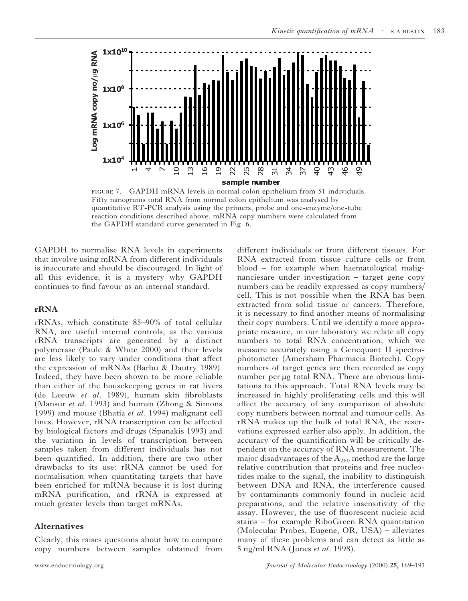

 7. GAPDH mRNA levels in normal colon epithelium from 51 individuals. Fifty nanograms total RNA from normal colon epithelium was analysed by quantitative RT-PCR analysis using the primers, probe and one-enzyme/one-tube reaction conditions described above. mRNA copy numbers were calculated from the GAPDH standard curve generated in Fig. 6.

GAPDH to normalise RNA levels in experiments that involve using mRNA from different individuals is inaccurate and should be discouraged. In light of all this evidence, it is a mystery why GAPDH continues to find favour as an internal standard.

#### **rRNA**

rRNAs, which constitute 85–90% of total cellular RNA, are useful internal controls, as the various rRNA transcripts are generated by a distinct polymerase (Paule & White 2000) and their levels are less likely to vary under conditions that affect the expression of mRNAs (Barbu & Dautry 1989). Indeed, they have been shown to be more reliable than either of the housekeeping genes in rat livers (de Leeuw *et al.* 1989), human skin fibroblasts (Mansur *et al.* 1993) and human (Zhong & Simons 1999) and mouse (Bhatia *et al.* 1994) malignant cell lines. However, rRNA transcription can be affected by biological factors and drugs (Spanakis 1993) and the variation in levels of transcription between samples taken from different individuals has not been quantified. In addition, there are two other drawbacks to its use: rRNA cannot be used for normalisation when quantitating targets that have been enriched for mRNA because it is lost during mRNA purification, and rRNA is expressed at much greater levels than target mRNAs.

#### **Alternatives**

Clearly, this raises questions about how to compare copy numbers between samples obtained from RNA extracted from tissue culture cells or from blood – for example when haematological malignanciesare under investigation – target gene copy numbers can be readily expressed as copy numbers/ cell. This is not possible when the RNA has been extracted from solid tissue or cancers. Therefore, it is necessary to find another means of normalising their copy numbers. Until we identify a more appropriate measure, in our laboratory we relate all copy numbers to total RNA concentration, which we measure accurately using a Genequant II spectrophotometer (Amersham Pharmacia Biotech). Copy numbers of target genes are then recorded as copy number per µg total RNA. There are obvious limitations to this approach. Total RNA levels may be increased in highly proliferating cells and this will affect the accuracy of any comparison of absolute copy numbers between normal and tumour cells. As rRNA makes up the bulk of total RNA, the reservations expressed earlier also apply. In addition, the accuracy of the quantification will be critically dependent on the accuracy of RNA measurement. The major disadvantages of the  $A_{260}$  method are the large relative contribution that proteins and free nucleotides make to the signal, the inability to distinguish between DNA and RNA, the interference caused by contaminants commonly found in nucleic acid preparations, and the relative insensitivity of the assay. However, the use of fluorescent nucleic acid stains – for example RiboGreen RNA quantitation (Molecular Probes, Eugene, OR, USA) – alleviates many of these problems and can detect as little as 5 ng/ml RNA (Jones *et al.* 1998).

different individuals or from different tissues. For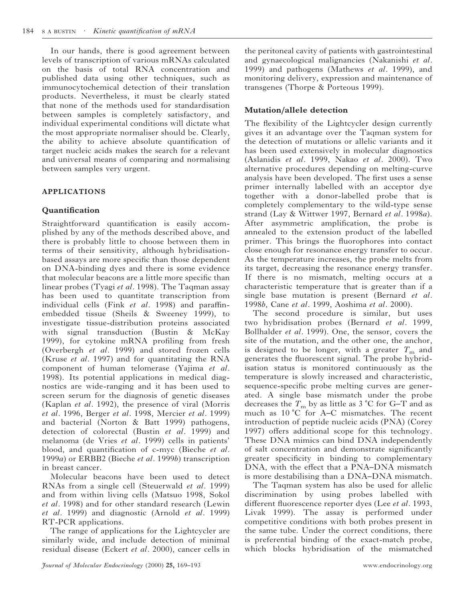In our hands, there is good agreement between levels of transcription of various mRNAs calculated on the basis of total RNA concentration and published data using other techniques, such as immunocytochemical detection of their translation products. Nevertheless, it must be clearly stated that none of the methods used for standardisation between samples is completely satisfactory, and individual experimental conditions will dictate what the most appropriate normaliser should be. Clearly, the ability to achieve absolute quantification of target nucleic acids makes the search for a relevant and universal means of comparing and normalising between samples very urgent.

#### **APPLICATIONS**

#### **Quantification**

Straightforward quantification is easily accomplished by any of the methods described above, and there is probably little to choose between them in terms of their sensitivity, although hybridisationbased assays are more specific than those dependent on DNA-binding dyes and there is some evidence that molecular beacons are a little more specific than linear probes (Tyagi *et al.* 1998). The Taqman assay has been used to quantitate transcription from individual cells (Fink *et al.* 1998) and paraffinembedded tissue (Sheils & Sweeney 1999), to investigate tissue-distribution proteins associated with signal transduction (Bustin & McKay 1999), for cytokine mRNA profiling from fresh (Overbergh *et al.* 1999) and stored frozen cells (Kruse *et al.* 1997) and for quantitating the RNA component of human telomerase (Yajima *et al.* 1998). Its potential applications in medical diagnostics are wide-ranging and it has been used to screen serum for the diagnosis of genetic diseases (Kaplan *et al.* 1992), the presence of viral (Morris *et al.* 1996, Berger *et al.* 1998, Mercier *et al.* 1999) and bacterial (Norton & Batt 1999) pathogens, detection of colorectal (Bustin *et al.* 1999) and melanoma (de Vries *et al.* 1999) cells in patients' blood, and quantification of c-myc (Bieche *et al.* 1999*a*) or ERBB2 (Bieche *et al.* 1999*b*) transcription in breast cancer.

Molecular beacons have been used to detect RNAs from a single cell (Steuerwald *et al.* 1999) and from within living cells (Matsuo 1998, Sokol *et al.* 1998) and for other standard research (Lewin *et al.* 1999) and diagnostic (Arnold *et al.* 1999) RT-PCR applications.

The range of applications for the Lightcycler are similarly wide, and include detection of minimal residual disease (Eckert *et al.* 2000), cancer cells in

the peritoneal cavity of patients with gastrointestinal and gynaecological malignancies (Nakanishi *et al.* 1999) and pathogens (Mathews *et al.* 1999), and monitoring delivery, expression and maintenance of transgenes (Thorpe & Porteous 1999).

# **Mutation/allele detection**

The flexibility of the Lightcycler design currently gives it an advantage over the Taqman system for the detection of mutations or allelic variants and it has been used extensively in molecular diagnostics (Aslanidis *et al.* 1999, Nakao *et al.* 2000). Two alternative procedures depending on melting-curve analysis have been developed. The first uses a sense primer internally labelled with an acceptor dye together with a donor-labelled probe that is completely complementary to the wild-type sense strand (Lay & Wittwer 1997, Bernard *et al.* 1998*a*). After asymmetric amplification, the probe is annealed to the extension product of the labelled primer. This brings the fluorophores into contact close enough for resonance energy transfer to occur. As the temperature increases, the probe melts from its target, decreasing the resonance energy transfer. If there is no mismatch, melting occurs at a characteristic temperature that is greater than if a single base mutation is present (Bernard *et al.* 1998*b*, Cane *et al.* 1999, Aoshima *et al.* 2000).

The second procedure is similar, but uses two hybridisation probes (Bernard *et al.* 1999, Bollhalder *et al.* 1999). One, the sensor, covers the site of the mutation, and the other one, the anchor, is designed to be longer, with a greater  $T_{\mathrm{m}}$  and generates the fluorescent signal. The probe hybridisation status is monitored continuously as the temperature is slowly increased and characteristic, sequence-specific probe melting curves are generated. A single base mismatch under the probe decreases the  $T_{\text{m}}$  by as little as  $3 \degree \text{C}$  for G–T and as much as  $10\text{ °C}$  for A–C mismatches. The recent introduction of peptide nucleic acids (PNA) (Corey 1997) offers additional scope for this technology. These DNA mimics can bind DNA independently of salt concentration and demonstrate significantly greater specificity in binding to complementary DNA, with the effect that a PNA–DNA mismatch is more destabilising than a DNA–DNA mismatch.

The Taqman system has also be used for allelic discrimination by using probes labelled with different fluorescence reporter dyes (Lee *et al.* 1993, Livak 1999). The assay is performed under competitive conditions with both probes present in the same tube. Under the correct conditions, there is preferential binding of the exact-match probe, which blocks hybridisation of the mismatched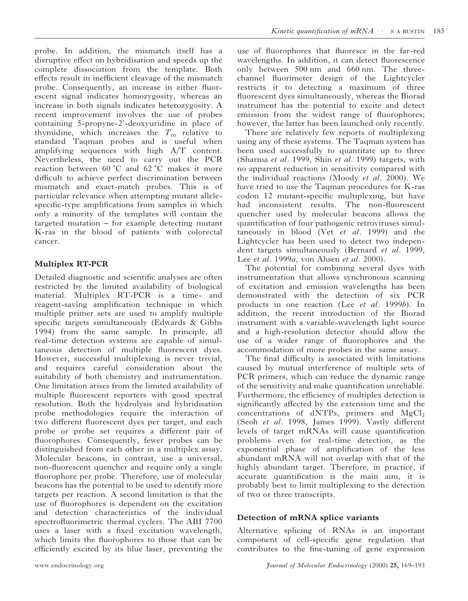probe. In addition, the mismatch itself has a disruptive effect on hybridisation and speeds up the complete dissociation from the template. Both effects result in inefficient cleavage of the mismatch probe. Consequently, an increase in either fluorescent signal indicates homozygosity, whereas an increase in both signals indicates heterozygosity. A recent improvement involves the use of probes containing 5-propyne-2-deoxyuridine in place of thymidine, which increases the  $T<sub>m</sub>$  relative to standard Taqman probes and is useful when amplifying sequences with high A/T content. Nevertheless, the need to carry out the PCR reaction between  $60^{\circ}$ C and  $62^{\circ}$ C makes it more difficult to achieve perfect discrimination between mismatch and exact-match probes. This is of particular relevance when attempting mutant allelespecific-type amplifications from samples in which only a minority of the templates will contain the targeted mutation – for example detecting mutant K-ras in the blood of patients with colorectal cancer.

# **Multiplex RT-PCR**

Detailed diagnostic and scientific analyses are often restricted by the limited availability of biological material. Multiplex RT-PCR is a time- and reagent-saving amplification technique in which multiple primer sets are used to amplify multiple specific targets simultaneously (Edwards & Gibbs 1994) from the same sample. In principle, all real-time detection systems are capable of simultaneous detection of multiple fluorescent dyes. However, successful multiplexing is never trivial, and requires careful consideration about the suitability of both chemistry and instrumentation. One limitation arises from the limited availability of multiple fluorescent reporters with good spectral resolution. Both the hydrolysis and hybridisation probe methodologies require the interaction of two different fluorescent dyes per target, and each probe or probe set requires a different pair of fluorophores. Consequently, fewer probes can be distinguished from each other in a multiplex assay. Molecular beacons, in contrast, use a universal, non-fluorescent quencher and require only a single fluorophore per probe. Therefore, use of molecular beacons has the potential to be used to identify more targets per reaction. A second limitation is that the use of fluorophores is dependent on the excitation and detection characteristics of the individual spectrofluorimetric thermal cyclers. The ABI 7700 uses a laser with a fixed excitation wavelength, which limits the fluorophores to those that can be efficiently excited by its blue laser, preventing the use of fluorophores that fluoresce in the far-red wavelengths. In addition, it can detect fluorescence only between 500 nm and 660 nm. The threechannel fluorimeter design of the Lightcycler restricts it to detecting a maximum of three fluorescent dyes simultaneously, whereas the Biorad instrument has the potential to excite and detect emission from the widest range of fluorophores; however, the latter has been launched only recently.

There are relatively few reports of multiplexing using any of these systems. The Taqman system has been used successfully to quantitate up to three (Sharma *et al.* 1999, Shin *et al.* 1999) targets, with no apparent reduction in sensitivity compared with the individual reactions (Moody *et al.* 2000). We have tried to use the Taqman procedures for K-ras codon 12 mutant-specific multiplexing, but have had inconsistent results. The non-fluorescent quencher used by molecular beacons allows the quantification of four pathogenic retroviruses simultaneously in blood (Vet *et al.* 1999) and the Lightcycler has been used to detect two independent targets simultaneously (Bernard *et al.* 1999, Lee *et al.* 1999*a*, von Ahsen *et al.* 2000).

The potential for combining several dyes with instrumentation that allows synchronous scanning of excitation and emission wavelengths has been demonstrated with the detection of six PCR products in one reaction (Lee *et al.* 1999*b*). In addition, the recent introduction of the Biorad instrument with a variable-wavelength light source and a high-resolution detector should allow the use of a wider range of fluorophores and the accommodation of more probes in the same assay.

The final difficulty is associated with limitations caused by mutual interference of multiple sets of PCR primers, which can reduce the dynamic range of the sensitivity and make quantification unreliable. Furthermore, the efficiency of multiplex detection is significantly affected by the extension time and the concentrations of dNTPs, primers and  $MgCl<sub>2</sub>$ (Seoh *et al.* 1998, James 1999). Vastly different levels of target mRNAs will cause quantification problems even for real-time detection, as the exponential phase of amplification of the less abundant mRNA will not overlap with that of the highly abundant target. Therefore, in practice, if accurate quantification is the main aim, it is probably best to limit multiplexing to the detection of two or three transcripts.

# **Detection of mRNA splice variants**

Alternative splicing of RNAs is an important component of cell-specific gene regulation that contributes to the fine-tuning of gene expression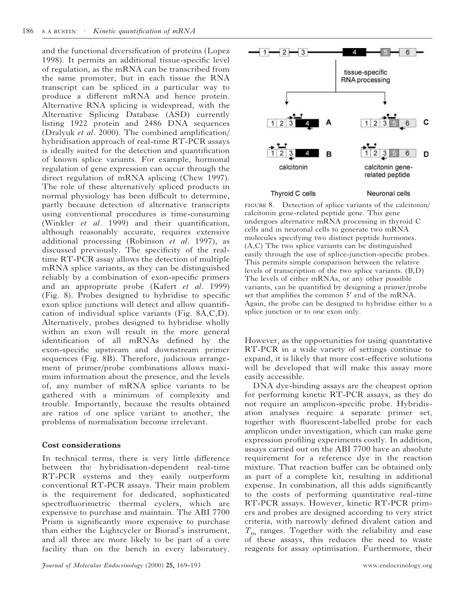and the functional diversification of proteins (Lopez 1998). It permits an additional tissue-specific level of regulation, as the mRNA can be transcribed from the same promoter, but in each tissue the RNA transcript can be spliced in a particular way to produce a different mRNA and hence protein. Alternative RNA splicing is widespread, with the Alternative Splicing Database (ASD) currently listing 1922 protein and 2486 DNA sequences (Dralyuk *et al.* 2000). The combined amplification/ hybridisation approach of real-time RT-PCR assays is ideally suited for the detection and quantification of known splice variants. For example, hormonal regulation of gene expression can occur through the direct regulation of mRNA splicing (Chew 1997). The role of these alternatively spliced products in normal physiology has been difficult to determine, partly because detection of alternative transcripts using conventional procedures is time-consuming (Winkler *et al.* 1999) and their quantification, although reasonably accurate, requires extensive additional processing (Robinson *et al.* 1997), as discussed previously. The specificity of the realtime RT-PCR assay allows the detection of multiple mRNA splice variants, as they can be distinguished reliably by a combination of exon-specific primers and an appropriate probe (Kafert *et al.* 1999) (Fig. 8). Probes designed to hybridise to specific exon splice junctions will detect and allow quantification of individual splice variants (Fig. 8A,C,D). Alternatively, probes designed to hybridise wholly within an exon will result in the more general identification of all mRNAs defined by the exon-specific upstream and downstream primer sequences (Fig. 8B). Therefore, judicious arrangement of primer/probe combinations allows maximum information about the presence, and the levels of, any number of mRNA splice variants to be gathered with a minimum of complexity and trouble. Importantly, because the results obtained are ratios of one splice variant to another, the problems of normalisation become irrelevant.

#### **Cost considerations**

In technical terms, there is very little difference between the hybridisation-dependent real-time RT-PCR systems and they easily outperform conventional RT-PCR assays. Their main problem is the requirement for dedicated, sophisticated spectrofluorimetric thermal cyclers, which are expensive to purchase and maintain. The ABI 7700 Prism is significantly more expensive to purchase than either the Lightcycler or Biorad's instrument, and all three are more likely to be part of a core facility than on the bench in every laboratory.



Thyroid C cells

Neuronal cells

 8. Detection of splice variants of the calcitonin/ calcitonin gene-related peptide gene. This gene undergoes alternative mRNA processing in thyroid C cells and in neuronal cells to generate two mRNA molecules specifying two distinct peptide hormones. (A,C) The two splice variants can be distinguished easily through the use of splice-junction-specific probes. This permits simple comparison between the relative levels of transcription of the two splice variants. (B,D) The levels of either mRNAs, or any other possible variants, can be quantified by designing a primer/probe set that amplifies the common 5' end of the mRNA. Again, the probe can be designed to hybridise either to a splice junction or to one exon only.

However, as the opportunities for using quantitative RT-PCR in a wide variety of settings continue to expand, it is likely that more cost-effective solutions will be developed that will make this assay more easily accessible.

DNA dye-binding assays are the cheapest option for performing kinetic RT-PCR assays, as they do not require an amplicon-specific probe. Hybridisation analyses require a separate primer set, together with fluorescent-labelled probe for each amplicon under investigation, which can make gene expression profiling experiments costly. In addition, assays carried out on the ABI 7700 have an absolute requirement for a reference dye in the reaction mixture. That reaction buffer can be obtained only as part of a complete kit, resulting in additional expense. In combination, all this adds significantly to the costs of performing quantitative real-time RT-PCR assays. However, kinetic RT-PCR primers and probes are designed according to very strict criteria, with narrowly defined divalent cation and  $T<sub>m</sub>$  ranges. Together with the reliability and ease of these assays, this reduces the need to waste reagents for assay optimisation. Furthermore, their

*Journal of Molecular Endocrinology* (2000) **25,** 169–193 www.endocrinology.org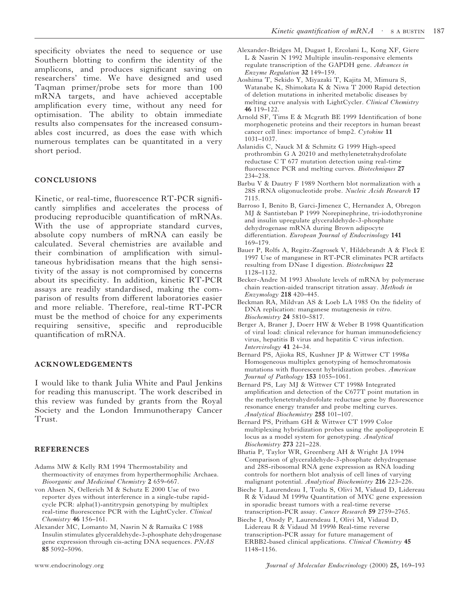specificity obviates the need to sequence or use Southern blotting to confirm the identity of the amplicons, and produces significant saving on researchers' time. We have designed and used Taqman primer/probe sets for more than 100 mRNA targets, and have achieved acceptable amplification every time, without any need for optimisation. The ability to obtain immediate results also compensates for the increased consumables cost incurred, as does the ease with which numerous templates can be quantitated in a very short period.

#### **CONCLUSIONS**

Kinetic, or real-time, fluorescence RT-PCR significantly simplifies and accelerates the process of producing reproducible quantification of mRNAs. With the use of appropriate standard curves, absolute copy numbers of mRNA can easily be calculated. Several chemistries are available and their combination of amplification with simultaneous hybridisation means that the high sensitivity of the assay is not compromised by concerns about its specificity. In addition, kinetic RT-PCR assays are readily standardised, making the comparison of results from different laboratories easier and more reliable. Therefore, real-time RT-PCR must be the method of choice for any experiments requiring sensitive, specific and reproducible quantification of mRNA.

#### **ACKNOWLEDGEMENTS**

I would like to thank Julia White and Paul Jenkins for reading this manuscript. The work described in this review was funded by grants from the Royal Society and the London Immunotherapy Cancer Trust.

#### **REFERENCES**

- Adams MW & Kelly RM 1994 Thermostability and thermoactivity of enzymes from hyperthermophilic Archaea. *Bioorganic and Medicinal Chemistry* **2** 659–667.
- von Ahsen N, Oellerich M & Schutz E 2000 Use of two reporter dyes without interference in a single-tube rapidcycle PCR: alpha(1)-antitrypsin genotyping by multiplex real-time fluorescence PCR with the LightCycler. *Clinical Chemistry* **46** 156–161.
- Alexander MC, Lomanto M, Nasrin N & Ramaika C 1988 Insulin stimulates glyceraldehyde-3-phosphate dehydrogenase gene expression through cis-acting DNA sequences. *PNAS* **85** 5092–5096.
- Alexander-Bridges M, Dugast I, Ercolani L, Kong XF, Giere L & Nasrin N 1992 Multiple insulin-responsive elements regulate transcription of the GAPDH gene. *Advances in Enzyme Regulation* **32** 149–159.
- Aoshima T, Sekido Y, Miyazaki T, Kajita M, Mimura S, Watanabe K, Shimokata K & Niwa T 2000 Rapid detection of deletion mutations in inherited metabolic diseases by melting curve analysis with LightCycler. *Clinical Chemistry* **46** 119–122.
- Arnold SF, Tims E & Mcgrath BE 1999 Identification of bone morphogenetic proteins and their receptors in human breast cancer cell lines: importance of bmp2. *Cytokine* **11** 1031–1037.
- Aslanidis C, Nauck M & Schmitz G 1999 High-speed prothrombin G A 20210 and methylenetetrahydrofolate reductase C T 677 mutation detection using real-time fluorescence PCR and melting curves. *Biotechniques* **27** 234–238.
- Barbu V & Dautry F 1989 Northern blot normalization with a 28S rRNA oligonucleotide probe. *Nucleic Acids Research* **17** 7115.
- Barroso I, Benito B, Garci-Jimenez C, Hernandez A, Obregon MJ & Santisteban P 1999 Norepinephrine, tri-iodothyronine and insulin upregulate glyceraldehyde-3-phosphate dehydrogenase mRNA during Brown adipocyte differentiation. *European Journal of Endocrinology* **141** 169–179.
- Bauer P, Rolfs A, Regitz-Zagrosek V, Hildebrandt A & Fleck E 1997 Use of manganese in RT-PCR eliminates PCR artifacts resulting from DNase I digestion. *Biotechniques* **22** 1128–1132.
- Becker-Andre M 1993 Absolute levels of mRNA by polymerase chain reaction-aided transcript titration assay. *Methods in Enzymology* **218** 420–445.
- Beckman RA, Mildvan AS & Loeb LA 1985 On the fidelity of DNA replication: manganese mutagenesis *in vitro*. *Biochemistry* **24** 5810–5817.
- Berger A, Braner J, Doerr HW & Weber B 1998 Quantification of viral load: clinical relevance for human immunodeficiency virus, hepatitis B virus and hepatitis C virus infection. *Intervirology* **41** 24–34.
- Bernard PS, Ajioka RS, Kushner JP & Wittwer CT 1998*a* Homogeneous multiplex genotyping of hemochromatosis mutations with fluorescent hybridization probes. *American Journal of Pathology* **153** 1055–1061.
- Bernard PS, Lay MJ & Wittwer CT 1998*b* Integrated amplification and detection of the C677T point mutation in the methylenetetrahydrofolate reductase gene by fluorescence resonance energy transfer and probe melting curves. *Analytical Biochemistry* **255** 101–107.
- Bernard PS, Pritham GH & Wittwer CT 1999 Color multiplexing hybridization probes using the apolipoprotein E locus as a model system for genotyping. *Analytical Biochemistry* **273** 221–228.
- Bhatia P, Taylor WR, Greenberg AH & Wright JA 1994 Comparison of glyceraldehyde-3-phosphate dehydrogenase and 28S-ribosomal RNA gene expression as RNA loading controls for northern blot analysis of cell lines of varying malignant potential. *Analytical Biochemistry* **216** 223–226.
- Bieche I, Laurendeau I, Tozlu S, Olivi M, Vidaud D, Lidereau R & Vidaud M 1999*a* Quantitation of MYC gene expression in sporadic breast tumors with a real-time reverse transcription-PCR assay. *Cancer Research* **59** 2759–2765.
- Bieche I, Onody P, Laurendeau I, Olivi M, Vidaud D, Lidereau R & Vidaud M 1999*b* Real-time reverse transcription-PCR assay for future management of ERBB2-based clinical applications. *Clinical Chemistry* **45** 1148–1156.

www.endocrinology.org *Journal of Molecular Endocrinology* (2000) **25,** 169–193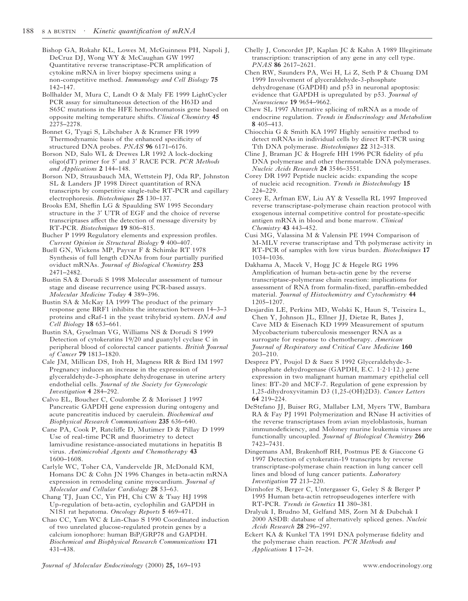- Bishop GA, Rokahr KL, Lowes M, McGuinness PH, Napoli J, DeCruz DJ, Wong WY & McCaughan GW 1997 Quantitative reverse transcriptase-PCR amplification of cytokine mRNA in liver biopsy specimens using a non-competitive method. *Immunology and Cell Biology* **75** 142–147.
- Bollhalder M, Mura C, Landt O & Maly FE 1999 LightCycler PCR assay for simultaneous detection of the H63D and S65C mutations in the HFE hemochromatosis gene based on opposite melting temperature shifts. *Clinical Chemistry* **45** 2275–2278.
- Bonnet G, Tyagi S, Libchaber A & Kramer FR 1999 Thermodynamic basis of the enhanced specificity of structured DNA probes. *PNAS* **96** 6171–6176.
- Borson ND, Salo WL & Drewes LR 1992 A lock-docking oligo(dT) primer for 5' and 3' RACE PCR. *PCR Methods and Applications* **2** 144–148.

Borson ND, Strausbauch MA, Wettstein PJ, Oda RP, Johnston SL & Landers JP 1998 Direct quantitation of RNA transcripts by competitive single-tube RT-PCR and capillary electrophoresis. *Biotechniques* **25** 130–137.

- Brooks EM, Sheflin LG & Spaulding SW 1995 Secondary structure in the 3' UTR of EGF and the choice of reverse transcriptases affect the detection of message diversity by RT-PCR. *Biotechniques* **19** 806–815.
- Bucher P 1999 Regulatory elements and expression profiles. *Current Opinion in Structural Biology* **9** 400–407.
- Buell GN, Wickens MP, Payvar F & Schimke RT 1978 Synthesis of full length cDNAs from four partially purified oviduct mRNAs. *Journal of Biological Chemistry* **253** 2471–2482.

Bustin SA & Dorudi S 1998 Molecular assessment of tumour stage and disease recurrence using PCR-based assays. *Molecular Medicine Today* **4** 389–396.

- Bustin SA & McKay IA 1999 The product of the primary response gene BRF1 inhibits the interaction between 14–3–3 proteins and cRaf-1 in the yeast trihybrid system. *DNA and Cell Biology* **18** 653–661.
- Bustin SA, Gyselman VG, Williams NS & Dorudi S 1999 Detection of cytokeratins 19/20 and guanylyl cyclase C in peripheral blood of colorectal cancer patients. *British Journal of Cancer* **79** 1813–1820.
- Cale JM, Millican DS, Itoh H, Magness RR & Bird IM 1997 Pregnancy induces an increase in the expression of glyceraldehyde-3-phosphate dehydrogenase in uterine artery endothelial cells. *Journal of the Society for Gynecologic Investigation* **4** 284–292.

Calvo EL, Boucher C, Coulombe Z & Morisset J 1997 Pancreatic GAPDH gene expression during ontogeny and acute pancreatitis induced by caerulein. *Biochemical and Biophysical Research Communications* **235** 636–640.

Cane PA, Cook P, Ratcliffe D, Mutimer D & Pillay D 1999 Use of real-time PCR and fluorimetry to detect lamivudine resistance-associated mutations in hepatitis B virus. *Antimicrobial Agents and Chemotherapy* **43** 1600–1608.

- Carlyle WC, Toher CA, Vandervelde JR, McDonald KM, Homans DC & Cohn JN 1996 Changes in beta-actin mRNA expression in remodeling canine myocardium. *Journal of Molecular and Cellular Cardiology* **28** 53–63.
- Chang TJ, Juan CC, Yin PH, Chi CW & Tsay HJ 1998 Up-regulation of beta-actin, cyclophilin and GAPDH in N1S1 rat hepatoma. *Oncology Reports* **5** 469–471.
- Chao CC, Yam WC & Lin-Chao S 1990 Coordinated induction of two unrelated glucose-regulated protein genes by a calcium ionophore: human BiP/GRP78 and GAPDH. *Biochemical and Biophysical Research Communications* **171** 431–438.
- Chelly J, Concordet JP, Kaplan JC & Kahn A 1989 Illegitimate transcription: transcription of any gene in any cell type. *PNAS* **86** 2617–2621.
- Chen RW, Saunders PA, Wei H, Li Z, Seth P & Chuang DM 1999 Involvement of glyceraldehyde-3-phosphate dehydrogenase (GAPDH) and p53 in neuronal apoptosis: evidence that GAPDH is upregulated by p53. *Journal of Neuroscience* **19** 9654–9662.
- Chew SL 1997 Alternative splicing of mRNA as a mode of endocrine regulation. *Trends in Endocrinology and Metabolism* **8** 405–413.
- Chiocchia G & Smith KA 1997 Highly sensitive method to detect mRNAs in individual cells by direct RT-PCR using Tth DNA polymerase. *Biotechniques* **22** 312–318.
- Cline J, Braman JC & Hogrefe HH 1996 PCR fidelity of pfu DNA polymerase and other thermostable DNA polymerases. *Nucleic Acids Research* **24** 3546–3551.
- Corey DR 1997 Peptide nucleic acids: expanding the scope of nucleic acid recognition. *Trends in Biotechnology* **15** 224–229.
- Corey E, Arfman EW, Liu AY & Vessella RL 1997 Improved reverse transcriptase-polymerase chain reaction protocol with exogenous internal competitive control for prostate-specific antigen mRNA in blood and bone marrow. *Clinical Chemistry* **43** 443–452.
- Cusi MG, Valassina M & Valensin PE 1994 Comparison of M-MLV reverse transcriptase and Tth polymerase activity in RT-PCR of samples with low virus burden. *Biotechniques* **17** 1034–1036.
- Dakhama A, Macek V, Hogg JC & Hegele RG 1996 Amplification of human beta-actin gene by the reverse transcriptase-polymerase chain reaction: implications for assessment of RNA from formalin-fixed, paraffin-embedded material. *Journal of Histochemistry and Cytochemistry* **44** 1205–1207.
- Desjardin LE, Perkins MD, Wolski K, Haun S, Teixeira L, Chen Y, Johnson JL, Ellner JJ, Dietze R, Bates J, Cave MD & Eisenach KD 1999 Measurement of sputum Mycobacterium tuberculosis messenger RNA as a surrogate for response to chemotherapy. *American Journal of Respiratory and Critical Care Medicine* **160** 203–210.
- Desprez PY, Poujol D & Saez S 1992 Glyceraldehyde-3 phosphate dehydrogenase (GAPDH, E.C. 1·2·1·12.) gene expression in two malignant human mammary epithelial cell lines: BT-20 and MCF-7. Regulation of gene expression by 1,25-dihydroxyvitamin D3 (1,25-(OH)2D3). *Cancer Letters* **64** 219–224.
- DeStefano JJ, Buiser RG, Mallaber LM, Myers TW, Bambara RA & Fay PJ 1991 Polymerization and RNase H activities of the reverse transcriptases from avian myeloblastosis, human immunodeficiency, and Moloney murine leukemia viruses are functionally uncoupled. *Journal of Biological Chemistry* **266** 7423–7431.
- Dingemans AM, Brakenhoff RH, Postmus PE & Giaccone G 1997 Detection of cytokeratin-19 transcripts by reverse transcriptase-polymerase chain reaction in lung cancer cell lines and blood of lung cancer patients. *Laboratory Investigation* **77** 213–220.
- Dirnhofer S, Berger C, Untergasser G, Geley S & Berger P 1995 Human beta-actin retropseudogenes interfere with RT-PCR. *Trends in Genetics* **11** 380–381.
- Dralyuk I, Brudno M, Gelfand MS, Zorn M & Dubchak I 2000 ASDB: database of alternatively spliced genes. *Nucleic Acids Research* **28** 296–297.
- Eckert KA & Kunkel TA 1991 DNA polymerase fidelity and the polymerase chain reaction. *PCR Methods and Applications* **1** 17–24.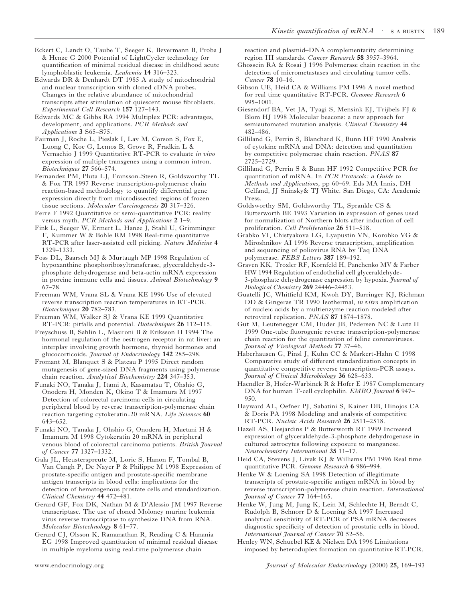Eckert C, Landt O, Taube T, Seeger K, Beyermann B, Proba J & Henze G 2000 Potential of LightCycler technology for quantification of minimal residual disease in childhood acute lymphoblastic leukemia. *Leukemia* **14** 316–323.

Edwards DR & Denhardt DT 1985 A study of mitochondrial and nuclear transcription with cloned cDNA probes. Changes in the relative abundance of mitochondrial transcripts after stimulation of quiescent mouse fibroblasts. *Experimental Cell Research* **157** 127–143.

Edwards MC & Gibbs RA 1994 Multiplex PCR: advantages, development, and applications. *PCR Methods and Applications* **3** S65–S75.

Fairman J, Roche L, Pieslak I, Lay M, Corson S, Fox E, Luong C, Koe G, Lemos B, Grove R, Fradkin L & Vernachio J 1999 Quantitative RT-PCR to evaluate *in vivo* expression of multiple transgenes using a common intron. *Biotechniques* **27** 566–574.

Fernandez PM, Pluta LJ, Fransson-Steen R, Goldsworthy TL & Fox TR 1997 Reverse transcription-polymerase chain reaction-based methodology to quantify differential gene expression directly from microdissected regions of frozen tissue sections. *Molecular Carcinogenesis* **20** 317–326.

Ferre F 1992 Quantitative or semi-quantitative PCR: reality versus myth. *PCR Methods and Applications* **2** 1–9.

Fink L, Seeger W, Ermert L, Hanze J, Stahl U, Grimminger F, Kummer W & Bohle RM 1998 Real-time quantitative RT-PCR after laser-assisted cell picking. *Nature Medicine* **4** 1329–1333.

Foss DL, Baarsch MJ & Murtaugh MP 1998 Regulation of hypoxanthine phosphoribosyltransferase, glyceraldehyde-3 phosphate dehydrogenase and beta-actin mRNA expression in porcine immune cells and tissues. *Animal Biotechnology* **9** 67–78.

Freeman WM, Vrana SL & Vrana KE 1996 Use of elevated reverse transcription reaction temperatures in RT-PCR. *Biotechniques* **20** 782–783.

Freeman WM, Walker SJ & Vrana KE 1999 Quantitative RT-PCR: pitfalls and potential. *Biotechniques* **26** 112–115.

Freyschuss B, Sahlin L, Masironi B & Eriksson H 1994 The hormonal regulation of the oestrogen receptor in rat liver: an interplay involving growth hormone, thyroid hormones and glucocorticoids. *Journal of Endocrinology* **142** 285–298.

Fromant M, Blanquet S & Plateau P 1995 Direct random mutagenesis of gene-sized DNA fragments using polymerase chain reaction. *Analytical Biochemistry* **224** 347–353.

Funaki NO, Tanaka J, Itami A, Kasamatsu T, Ohshio G, Onodera H, Monden K, Okino T & Imamura M 1997 Detection of colorectal carcinoma cells in circulating peripheral blood by reverse transcription-polymerase chain reaction targeting cytokeratin-20 mRNA. *Life Sciences* **60** 643–652.

Funaki NO, Tanaka J, Ohshio G, Onodera H, Maetani H & Imamura M 1998 Cytokeratin 20 mRNA in peripheral venous blood of colorectal carcinoma patients. *British Journal of Cancer* **77** 1327–1332.

Gala JL, Heusterspreute M, Loric S, Hanon F, Tombal B, Van Cangh P, De Nayer P & Philippe M 1998 Expression of prostate-specific antigen and prostate-specific membrane antigen transcripts in blood cells: implications for the detection of hematogenous prostate cells and standardization. *Clinical Chemistry* **44** 472–481.

Gerard GF, Fox DK, Nathan M & D'Alessio JM 1997 Reverse transcriptase. The use of cloned Moloney murine leukemia virus reverse transcriptase to synthesize DNA from RNA. *Molecular Biotechnology* **8** 61–77.

Gerard CJ, Olsson K, Ramanathan R, Reading C & Hanania EG 1998 Improved quantitation of minimal residual disease in multiple myeloma using real-time polymerase chain

reaction and plasmid–DNA complementarity determining region III standards. *Cancer Research* **58** 3957–3964.

- Ghossein RA & Rosai J 1996 Polymerase chain reaction in the detection of micrometastases and circulating tumor cells. *Cancer* **78** 10–16.
- Gibson UE, Heid CA & Williams PM 1996 A novel method for real time quantitative RT-PCR. *Genome Research* **6** 995–1001.
- Giesendorf BA, Vet JA, Tyagi S, Mensink EJ, Trijbels FJ & Blom HJ 1998 Molecular beacons: a new approach for semiautomated mutation analysis. *Clinical Chemistry* **44** 482–486.

Gilliland G, Perrin S, Blanchard K, Bunn HF 1990 Analysis of cytokine mRNA and DNA: detection and quantitation by competitive polymerase chain reaction. *PNAS* **87** 2725–2729.

Gilliland G, Perrin S & Bunn HF 1992 Competitive PCR for quantitation of mRNA. In *PCR Protocols: a Guide to Methods and Applications*, pp 60–69. Eds MA Innis, DH Gelfand, JJ Sninsky& TJ White. San Diego, CA: Academic Press.

Goldsworthy SM, Goldsworthy TL, Sprankle CS & Butterworth BE 1993 Variation in expression of genes used for normalization of Northern blots after induction of cell proliferation. *Cell Proliferation* **26** 511–518.

Grabko VI, Chistyakova LG, Lyapustin VN, Korobko VG & Miroshnikov AI 1996 Reverse transcription, amplification and sequencing of poliovirus RNA by Taq DNA polymerase. *FEBS Letters* **387** 189–192.

Graven KK, Troxler RF, Kornfeld H, Panchenko MV & Farber HW 1994 Regulation of endothelial cell glyceraldehyde-3-phosphate dehydrogenase expression by hypoxia. *Journal of Biological Chemistry* **269** 24446–24453.

Guatelli JC, Whitfield KM, Kwoh DY, Barringer KJ, Richman DD & Gingeras TR 1990 Isothermal, *in vitro* amplification of nucleic acids by a multienzyme reaction modeled after retroviral replication. *PNAS* **87** 1874–1878.

Gut M, Leutenegger CM, Huder JB, Pedersen NC & Lutz H 1999 One-tube fluorogenic reverse transcription-polymerase chain reaction for the quantitation of feline coronaviruses. *Journal of Virological Methods* **77** 37–46.

Haberhausen G, Pinsl J, Kuhn CC & Markert-Hahn C 1998 Comparative study of different standardization concepts in quantitative competitive reverse transcription-PCR assays. *Journal of Clinical Microbiology* **36** 628–633.

Haendler B, Hofer-Warbinek R & Hofer E 1987 Complementary DNA for human T-cell cyclophilin. *EMBO Journal* **6** 947– 950.

Hayward AL, Oefner PJ, Sabatini S, Kainer DB, Hinojos CA & Doris PA 1998 Modeling and analysis of competitive RT-PCR. *Nucleic Acids Research* **26** 2511–2518.

Hazell AS, Desjardins P & Butterworth RF 1999 Increased expression of glyceraldehyde-3-phosphate dehydrogenase in cultured astrocytes following exposure to manganese. *Neurochemistry International* **35** 11–17.

Heid CA, Stevens J, Livak KJ & Williams PM 1996 Real time quantitative PCR. *Genome Research* **6** 986–994.

Henke W & Loening SA 1998 Detection of illegitimate transcripts of prostate-specific antigen mRNA in blood by reverse transcription-polymerase chain reaction. *International Journal of Cancer* **77** 164–165.

Henke W, Jung M, Jung K, Lein M, Schlechte H, Berndt C, Rudolph B, Schnorr D & Loening SA 1997 Increased analytical sensitivity of RT-PCR of PSA mRNA decreases diagnostic specificity of detection of prostatic cells in blood. *International Journal of Cancer* **70** 52–56.

Henley WN, Schuebel KE & Nielsen DA 1996 Limitations imposed by heteroduplex formation on quantitative RT-PCR.

www.endocrinology.org *Journal of Molecular Endocrinology* (2000) **25,** 169–193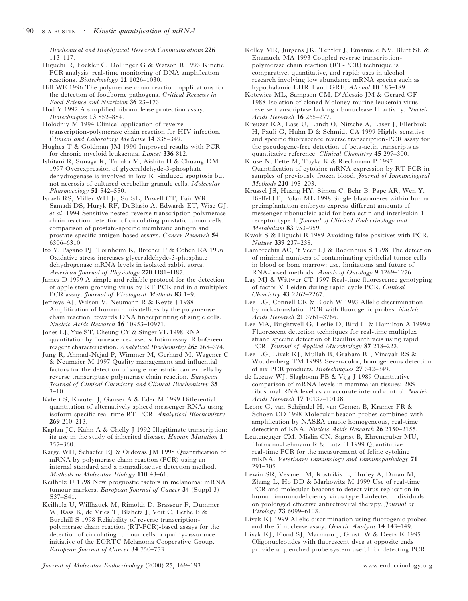*Biochemical and Biophysical Research Communications* **226** 113–117.

- Higuchi R, Fockler C, Dollinger G & Watson R 1993 Kinetic PCR analysis: real-time monitoring of DNA amplification reactions. *Biotechnology* **11** 1026–1030.
- Hill WE 1996 The polymerase chain reaction: applications for the detection of foodborne pathogens. *Critical Reviews in Food Science and Nutrition* **36** 23–173.
- Hod Y 1992 A simplified ribonuclease protection assay. *Biotechniques* **13** 852–854.
- Holodniy M 1994 Clinical application of reverse transcription-polymerase chain reaction for HIV infection. *Clinical and Laboratory Medicine* **14** 335–349.
- Hughes T & Goldman JM 1990 Improved results with PCR for chronic myeloid leukaemia. *Lancet* **336** 812.
- Ishitani R, Sunaga K, Tanaka M, Aishita H & Chuang DM 1997 Overexpression of glyceraldehyde-3-phosphate dehydrogenase is involved in low  $K^+$ -induced apoptosis but not necrosis of cultured cerebellar granule cells. *Molecular Pharmacology* **51** 542–550.

Israeli RS, Miller WH Jr, Su SL, Powell CT, Fair WR, Samadi DS, Huryk RF, DeBlasio A, Edwards ET, Wise GJ, *et al*. 1994 Sensitive nested reverse transcription polymerase chain reaction detection of circulating prostatic tumor cells: comparison of prostate-specific membrane antigen and prostate-specific antigen-based assays. *Cancer Research* **54** 6306–6310.

Ito Y, Pagano PJ, Tornheim K, Brecher P & Cohen RA 1996 Oxidative stress increases glyceraldehyde-3-phosphate dehydrogenase mRNA levels in isolated rabbit aorta. *American Journal of Physiology* **270** H81–H87.

James D 1999 A simple and reliable protocol for the detection of apple stem grooving virus by RT-PCR and in a multiplex PCR assay. *Journal of Virological Methods* **83** 1–9.

Jeffreys AJ, Wilson V, Neumann R & Keyte J 1988 Amplification of human minisatellites by the polymerase chain reaction: towards DNA fingerprinting of single cells. *Nucleic Acids Research* **16** 10953–10971.

Jones LJ, Yue ST, Cheung CY & Singer VL 1998 RNA quantitation by fluorescence-based solution assay: RiboGreen reagent characterization. *Analytical Biochemistry* **265** 368–374.

Jung R, Ahmad-Nejad P, Wimmer M, Gerhard M, Wagener C & Neumaier M 1997 Quality management and influential factors for the detection of single metastatic cancer cells by reverse transcriptase polymerase chain reaction. *European Journal of Clinical Chemistry and Clinical Biochemistry* **35**  $3 - 10.$ 

Kafert S, Krauter J, Ganser A & Eder M 1999 Differential quantitation of alternatively spliced messenger RNAs using isoform-specific real-time RT-PCR. *Analytical Biochemistry* **269** 210–213.

Kaplan JC, Kahn A & Chelly J 1992 Illegitimate transcription: its use in the study of inherited disease. *Human Mutation* **1** 357–360.

Karge WH, Schaefer EJ & Ordovas JM 1998 Quantification of mRNA by polymerase chain reaction (PCR) using an internal standard and a nonradioactive detection method. *Methods in Molecular Biology* **110** 43–61.

Keilholz U 1998 New prognostic factors in melanoma: mRNA tumour markers. *European Journal of Cancer* **34** (Suppl 3) S37–S41.

Keilholz U, Willhauck M, Rimoldi D, Brasseur F, Dummer W, Rass K, de Vries T, Blaheta J, Voit C, Lethe B & Burchill S 1998 Reliability of reverse transcriptionpolymerase chain reaction (RT-PCR)-based assays for the detection of circulating tumour cells: a quality-assurance initiative of the EORTC Melanoma Cooperative Group. *European Journal of Cancer* **34** 750–753.

Kelley MR, Jurgens JK, Tentler J, Emanuele NV, Blutt SE & Emanuele MA 1993 Coupled reverse transcriptionpolymerase chain reaction (RT-PCR) technique is comparative, quantitative, and rapid: uses in alcohol research involving low abundance mRNA species such as hypothalamic LHRH and GRF. *Alcohol* **10** 185–189.

Kotewicz ML, Sampson CM, D'Alessio JM & Gerard GF 1988 Isolation of cloned Moloney murine leukemia virus reverse transcriptase lacking ribonuclease H activity. *Nucleic Acids Research* **16** 265–277.

Kreuzer KA, Lass U, Landt O, Nitsche A, Laser J, Ellerbrok H, Pauli G, Huhn D & Schmidt CA 1999 Highly sensitive and specific fluorescence reverse transcription-PCR assay for the pseudogene-free detection of beta-actin transcripts as quantitative reference. *Clinical Chemistry* **45** 297–300.

Kruse N, Pette M, Toyka K & Rieckmann P 1997 Quantification of cytokine mRNA expression by RT PCR in samples of previously frozen blood. *Journal of Immunological Methods* **210** 195–203.

Krussel JS, Huang HY, Simon C, Behr B, Pape AR, Wen Y, Bielfeld P, Polan ML 1998 Single blastomeres within human preimplantation embryos express different amounts of messenger ribonucleic acid for beta-actin and interleukin-1 receptor type I. *Journal of Clinical Endocrinology and Metabolism* **83** 953–959.

Kwok S & Higuchi R 1989 Avoiding false positives with PCR. *Nature* **339** 237–238.

Lambrechts AC, 't Veer LJ & Rodenhuis S 1998 The detection of minimal numbers of contaminating epithelial tumor cells in blood or bone marrow: use, limitations and future of RNA-based methods. *Annals of Oncology* **9** 1269–1276.

Lay MJ & Wittwer CT 1997 Real-time fluorescence genotyping of factor V Leiden during rapid-cycle PCR. *Clinical Chemistry* **43** 2262–2267.

Lee LG, Connell CR & Bloch W 1993 Allelic discrimination by nick-translation PCR with fluorogenic probes. *Nucleic Acids Research* **21** 3761–3766.

Lee MA, Brightwell G, Leslie D, Bird H & Hamilton A 1999*a* Fluorescent detection techniques for real-time multiplex strand specific detection of Bacillus anthracis using rapid PCR. *Journal of Applied Microbiology* **87** 218–223.

Lee LG, Livak KJ, Mullah B, Graham RJ, Vinayak RS & Woudenberg TM 1999*b* Seven-color, homogeneous detection of six PCR products. *Biotechniques* **27** 342–349.

de Leeuw WJ, Slagboom PE & Vijg J 1989 Quantitative comparison of mRNA levels in mammalian tissues: 28S ribosomal RNA level as an accurate internal control. *Nucleic Acids Research* **17** 10137–10138.

Leone G, van Schijndel H, van Gemen B, Kramer FR & Schoen CD 1998 Molecular beacon probes combined with amplification by NASBA enable homogeneous, real-time detection of RNA. *Nucleic Acids Research* **26** 2150–2155.

Leutenegger CM, Mislin CN, Sigrist B, Ehrengruber MU, Hofmann-Lehmann R & Lutz H 1999 Quantitative real-time PCR for the measurement of feline cytokine mRNA. *Veterinary Immunology and Immunopathology* **71** 291–305.

Lewin SR, Vesanen M, Kostrikis L, Hurley A, Duran M, Zhang L, Ho DD & Markowitz M 1999 Use of real-time PCR and molecular beacons to detect virus replication in human immunodeficiency virus type 1-infected individuals on prolonged effective antiretroviral therapy. *Journal of Virology* **73** 6099–6103.

Livak KJ 1999 Allelic discrimination using fluorogenic probes and the 5' nuclease assay. *Genetic Analysis* 14 143-149.

Livak KJ, Flood SJ, Marmaro J, Giusti W & Deetz K 1995 Oligonucleotides with fluorescent dyes at opposite ends provide a quenched probe system useful for detecting PCR

*Journal of Molecular Endocrinology* (2000) **25,** 169–193 www.endocrinology.org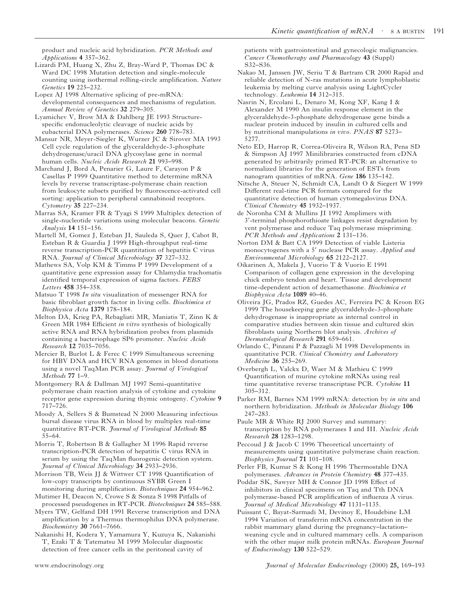product and nucleic acid hybridization. *PCR Methods and Applications* **4** 357–362.

Lizardi PM, Huang X, Zhu Z, Bray-Ward P, Thomas DC & Ward DC 1998 Mutation detection and single-molecule counting using isothermal rolling-circle amplification. *Nature Genetics* **19** 225–232.

Lopez AJ 1998 Alternative splicing of pre-mRNA: developmental consequences and mechanisms of regulation. *Annual Review of Genetics* **32** 279–305.

Lyamichev V, Brow MA & Dahlberg JE 1993 Structurespecific endonucleolytic cleavage of nucleic acids by eubacterial DNA polymerases. *Science* **260** 778–783.

Mansur NR, Meyer-Siegler K, Wurzer JC & Sirover MA 1993 Cell cycle regulation of the glyceraldehyde-3-phosphate dehydrogenase/uracil DNA glycosylase gene in normal human cells. *Nucleic Acids Research* **21** 993–998.

Marchand J, Bord A, Penarier G, Laure F, Carayon P & Casellas P 1999 Quantitative method to determine mRNA levels by reverse transcriptase-polymerase chain reaction from leukocyte subsets purified by fluorescence-activated cell sorting: application to peripheral cannabinoid receptors. *Cytometry* **35** 227–234.

Marras SA, Kramer FR & Tyagi S 1999 Multiplex detection of single-nucleotide variations using molecular beacons. *Genetic Analysis* **14** 151–156.

Martell M, Gomez J, Esteban JI, Sauleda S, Quer J, Cabot B, Esteban R & Guardia J 1999 High-throughput real-time reverse transcription-PCR quantitation of hepatitis C virus RNA. *Journal of Clinical Microbiology* **37** 327–332.

Mathews SA, Volp KM & Timms P 1999 Development of a quantitative gene expression assay for Chlamydia trachomatis identified temporal expression of sigma factors. *FEBS Letters* **458** 354–358.

Matsuo T 1998 *In situ* visualization of messenger RNA for basic fibroblast growth factor in living cells. *Biochimica et Biophysica Acta* **1379** 178–184.

Melton DA, Krieg PA, Rebagliati MR, Maniatis T, Zinn K & Green MR 1984 Efficient *in vitro* synthesis of biologically active RNA and RNA hybridization probes from plasmids containing a bacteriophage SP6 promoter. *Nucleic Acids Research* **12** 7035–7056.

Mercier B, Burlot L & Ferec C 1999 Simultaneous screening for HBV DNA and HCV RNA genomes in blood donations using a novel TaqMan PCR assay. *Journal of Virological Methods* **77** 1–9.

Montgomery RA & Dallman MJ 1997 Semi-quantitative polymerase chain reaction analysis of cytokine and cytokine receptor gene expression during thymic ontogeny. *Cytokine* **9** 717–726.

Moody A, Sellers S & Bumstead N 2000 Measuring infectious bursal disease virus RNA in blood by multiplex real-time quantitative RT-PCR. *Journal of Virological Methods* **85** 55–64.

Morris T, Robertson B & Gallagher M 1996 Rapid reverse transcription-PCR detection of hepatitis C virus RNA in serum by using the TaqMan fluorogenic detection system. *Journal of Clinical Microbiology* **34** 2933–2936.

Morrison TB, Weis JJ & Wittwer CT 1998 Quantification of low-copy transcripts by continuous SYBR Green I monitoring during amplification. *Biotechniques* **24** 954–962.

Mutimer H, Deacon N, Crowe S & Sonza S 1998 Pitfalls of processed pseudogenes in RT-PCR. *Biotechniques* **24** 585–588.

Myers TW, Gelfand DH 1991 Reverse transcription and DNA amplification by a Thermus thermophilus DNA polymerase. *Biochemistry* **30** 7661–7666.

Nakanishi H, Kodera Y, Yamamura Y, Kuzuya K, Nakanishi T, Ezaki T & Tatematsu M 1999 Molecular diagnostic detection of free cancer cells in the peritoneal cavity of

patients with gastrointestinal and gynecologic malignancies. *Cancer Chemotherapy and Pharmacology* **43** (Suppl) S32–S36.

Nakao M, Janssen JW, Seriu T & Bartram CR 2000 Rapid and reliable detection of N-ras mutations in acute lymphoblastic leukemia by melting curve analysis using LightCycler technology. *Leukemia* **14** 312–315.

Nasrin N, Ercolani L, Denaro M, Kong XF, Kang I & Alexander M 1990 An insulin response element in the glyceraldehyde-3-phosphate dehydrogenase gene binds a nuclear protein induced by insulin in cultured cells and by nutritional manipulations *in vivo*. *PNAS* **87** 5273– 5277.

Neto ED, Harrop R, Correa-Oliveira R, Wilson RA, Pena SD & Simpson AJ 1997 Minilibraries constructed from cDNA generated by arbitrarily primed RT-PCR: an alternative to normalized libraries for the generation of ESTs from nanogram quantities of mRNA. *Gene* **186** 135–142.

Nitsche A, Steuer N, Schmidt CA, Landt O & Siegert W 1999 Different real-time PCR formats compared for the quantitative detection of human cytomegalovirus DNA. *Clinical Chemistry* **45** 1932–1937.

de Noronha CM & Mullins JI 1992 Amplimers with 3-terminal phosphorothioate linkages resist degradation by vent polymerase and reduce Taq polymerase mispriming. *PCR Methods and Applications* **2** 131–136.

Norton DM & Batt CA 1999 Detection of viable Listeria monocytogenes with a 5' nuclease PCR assay. *Applied and Environmental Microbiology* **65** 2122–2127.

Oikarinen A, Makela J, Vuorio T & Vuorio E 1991 Comparison of collagen gene expression in the developing chick embryo tendon and heart. Tissue and development time-dependent action of dexamethasone. *Biochimica et Biophysica Acta* **1089** 40–46.

Oliveira JG, Prados RZ, Guedes AC, Ferreira PC & Kroon EG 1999 The housekeeping gene glyceraldehyde-3-phosphate dehydrogenase is inappropriate as internal control in comparative studies between skin tissue and cultured skin fibroblasts using Northern blot analysis. *Archives of Dermatological Research* **291** 659–661.

Orlando C, Pinzani P & Pazzagli M 1998 Developments in quantitative PCR. *Clinical Chemistry and Laboratory Medicine* **36** 255–269.

Overbergh L, Valckx D, Waer M & Mathieu C 1999 Quantification of murine cytokine mRNAs using real time quantitative reverse transcriptase PCR. *Cytokine* **11** 305–312.

Parker RM, Barnes NM 1999 mRNA: detection by *in situ* and northern hybridization. *Methods in Molecular Biology* **106** 247–283.

Paule MR & White RJ 2000 Survey and summary: transcription by RNA polymerases I and III. *Nucleic Acids Research* **28** 1283–1298.

Peccoud J & Jacob C 1996 Theoretical uncertainty of measurements using quantitative polymerase chain reaction. *Biophysics Journal* **71** 101–108.

Perler FB, Kumar S & Kong H 1996 Thermostable DNA polymerases. *Advances in Protein Chemistry* **48** 377–435.

Poddar SK, Sawyer MH & Connor JD 1998 Effect of inhibitors in clinical specimens on Taq and Tth DNA polymerase-based PCR amplification of influenza A virus. *Journal of Medical Microbiology* **47** 1131–1135.

Puissant C, Bayat-Sarmadi M, Devinoy E, Houdebine LM 1994 Variation of transferrin mRNA concentration in the rabbit mammary gland during the pregnancy–lactation– weaning cycle and in cultured mammary cells. A comparison with the other major milk protein mRNAs. *European Journal of Endocrinology* **130** 522–529.

www.endocrinology.org *Journal of Molecular Endocrinology* (2000) **25,** 169–193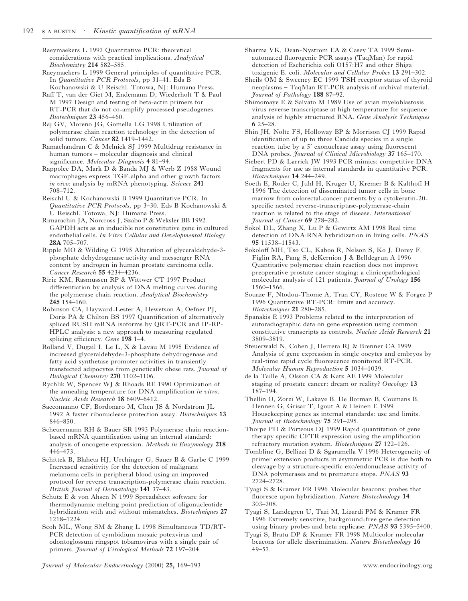Raeymaekers L 1993 Quantitative PCR: theoretical considerations with practical implications. *Analytical Biochemistry* **214** 582–585.

Raeymaekers L 1999 General principles of quantitative PCR. In *Quantitative PCR Protocols*, pp 31–41. Eds B Kochanowski & U Reischl. Totowa, NJ: Humana Press.

Raff T, van der Giet M, Endemann D, Wiederholt T & Paul M 1997 Design and testing of beta-actin primers for RT-PCR that do not co-amplify processed pseudogenes. *Biotechniques* **23** 456–460.

Raj GV, Moreno JG, Gomella LG 1998 Utilization of polymerase chain reaction technology in the detection of solid tumors. *Cancer* **82** 1419–1442.

Ramachandran C & Melnick SJ 1999 Multidrug resistance in human tumors – molecular diagnosis and clinical significance. *Molecular Diagnosis* **4** 81–94.

Rappolee DA, Mark D & Banda MJ & Werb Z 1988 Wound macrophages express TGF-alpha and other growth factors *in vivo*: analysis by mRNA phenotyping. *Science* **241** 708–712.

Reischl U & Kochanowski B 1999 Quantitative PCR. In *Quantitative PCR Protocols*, pp 3–30. Eds B Kochanowski & U Reischl. Totowa, NJ: Humana Press.

Rimarachin JA, Norcross J, Szabo P & Weksler BB 1992 GAPDH acts as an inducible not constitutive gene in cultured endothelial cells. *In Vitro Cellular and Developmental Biology* **28A** 705–707.

Ripple MO & Wilding G 1995 Alteration of glyceraldehyde-3 phosphate dehydrogenase activity and messenger RNA content by androgen in human prostate carcinoma cells. *Cancer Research* **55** 4234–4236.

Ririe KM, Rasmussen RP & Wittwer CT 1997 Product differentiation by analysis of DNA melting curves during the polymerase chain reaction. *Analytical Biochemistry* **245** 154–160.

Robinson CA, Hayward-Lester A, Hewetson A, Oefner PJ, Doris PA & Chilton BS 1997 Quantification of alternatively spliced RUSH mRNA isoforms by QRT-PCR and IP-RP-HPLC analysis: a new approach to measuring regulated splicing efficiency. *Gene* **198** 1–4.

Rolland V, Dugail I, Le L, X & Lavau M 1995 Evidence of increased glyceraldehyde-3-phosphate dehydrogenase and fatty acid synthetase promoter activities in transiently transfected adipocytes from genetically obese rats. *Journal of Biological Chemistry* **270** 1102–1106.

Rychlik W, Spencer WJ & Rhoads RE 1990 Optimization of the annealing temperature for DNA amplification *in vitro*. *Nucleic Acids Research* **18** 6409–6412.

Saccomanno CF, Bordonaro M, Chen JS & Nordstrom JL 1992 A faster ribonuclease protection assay. *Biotechniques* **13** 846–850.

Scheuermann RH & Bauer SR 1993 Polymerase chain reactionbased mRNA quantification using an internal standard: analysis of oncogene expression. *Methods in Enzymology* **218** 446–473.

Schittek B, Blaheta HJ, Urchinger G, Sauer B & Garbe C 1999 Increased sensitivity for the detection of malignant melanoma cells in peripheral blood using an improved protocol for reverse transcription-polymerase chain reaction. *British Journal of Dermatology* **141** 37–43.

Schutz E & von Ahsen N 1999 Spreadsheet software for thermodynamic melting point prediction of oligonucleotide hybridization with and without mismatches. *Biotechniques* **27** 1218–1224.

Seoh ML, Wong SM & Zhang L 1998 Simultaneous TD/RT-PCR detection of cymbidium mosaic potexvirus and odontoglossum ringspot tobamovirus with a single pair of primers. *Journal of Virological Methods* **72** 197–204.

Sharma VK, Dean-Nystrom EA & Casey TA 1999 Semiautomated fluorogenic PCR assays (TaqMan) for rapid detection of Escherichia coli O157:H7 and other Shiga toxigenic E. coli. *Molecular and Cellular Probes* **13** 291–302.

Sheils OM & Sweeney EC 1999 TSH receptor status of thyroid neoplasms – TaqMan RT-PCR analysis of archival material. *Journal of Pathology* **188** 87–92.

Shimomaye E & Salvato M 1989 Use of avian myeloblastosis virus reverse transcriptase at high temperature for sequence analysis of highly structured RNA. *Gene Analysis Techniques* **6** 25–28.

Shin JH, Nolte FS, Holloway BP & Morrison CJ 1999 Rapid identification of up to three Candida species in a single reaction tube by a 5' exonuclease assay using fluorescent DNA probes. *Journal of Clinical Microbiology* **37** 165–170.

Siebert PD & Larrick JW 1993 PCR mimics: competitive DNA fragments for use as internal standards in quantitative PCR. *Biotechniques* **14** 244–249.

Soeth E, Roder C, Juhl H, Kruger U, Kremer B & Kalthoff H 1996 The detection of disseminated tumor cells in bone marrow from colorectal-cancer patients by a cytokeratin-20 specific nested reverse-transcriptase-polymerase-chain reaction is related to the stage of disease. *International Journal of Cancer* **69** 278–282.

Sokol DL, Zhang X, Lu P & Gewirtz AM 1998 Real time detection of DNA·RNA hybridization in living cells. *PNAS* **95** 11538–11543.

Sokoloff MH, Tso CL, Kaboo R, Nelson S, Ko J, Dorey F, Figlin RA, Pang S, deKernion J & Belldegrun A 1996 Quantitative polymerase chain reaction does not improve preoperative prostate cancer staging: a clinicopathological molecular analysis of 121 patients. *Journal of Urology* **156** 1560–1566.

Souaze F, Ntodou-Thome A, Tran CY, Rostene W & Forgez P 1996 Quantitative RT-PCR: limits and accuracy. *Biotechniques* **21** 280–285.

Spanakis E 1993 Problems related to the interpretation of autoradiographic data on gene expression using common constitutive transcripts as controls. *Nucleic Acids Research* **21** 3809–3819.

Steuerwald N, Cohen J, Herrera RJ & Brenner CA 1999 Analysis of gene expression in single oocytes and embryos by real-time rapid cycle fluorescence monitored RT-PCR. *Molecular Human Reproduction* **5** 1034–1039.

de la Taille A, Olsson CA & Katz AE 1999 Molecular staging of prostate cancer: dream or reality? *Oncology* **13** 187–194.

Thellin O, Zorzi W, Lakaye B, De Borman B, Coumans B, Hennen G, Grisar T, Igout A & Heinen E 1999 Housekeeping genes as internal standards: use and limits. *Journal of Biotechnology* **75** 291–295.

Thorpe PH & Porteous DJ 1999 Rapid quantitation of gene therapy specific CFTR expression using the amplification refractory mutation system. *Biotechniques* **27** 122–126.

Tombline G, Bellizzi D & Sgaramella V 1996 Heterogeneity of primer extension products in asymmetric PCR is due both to cleavage by a structure-specific exo/endonuclease activity of DNA polymerases and to premature stops. *PNAS* **93** 2724–2728.

Tyagi S & Kramer FR 1996 Molecular beacons: probes that fluoresce upon hybridization. *Nature Biotechnology* **14** 303–308.

Tyagi S, Landegren U, Tazi M, Lizardi PM & Kramer FR 1996 Extremely sensitive, background-free gene detection using binary probes and beta replicase. *PNAS* **93** 5395–5400.

Tyagi S, Bratu DP & Kramer FR 1998 Multicolor molecular beacons for allele discrimination. *Nature Biotechnology* **16** 49–53.